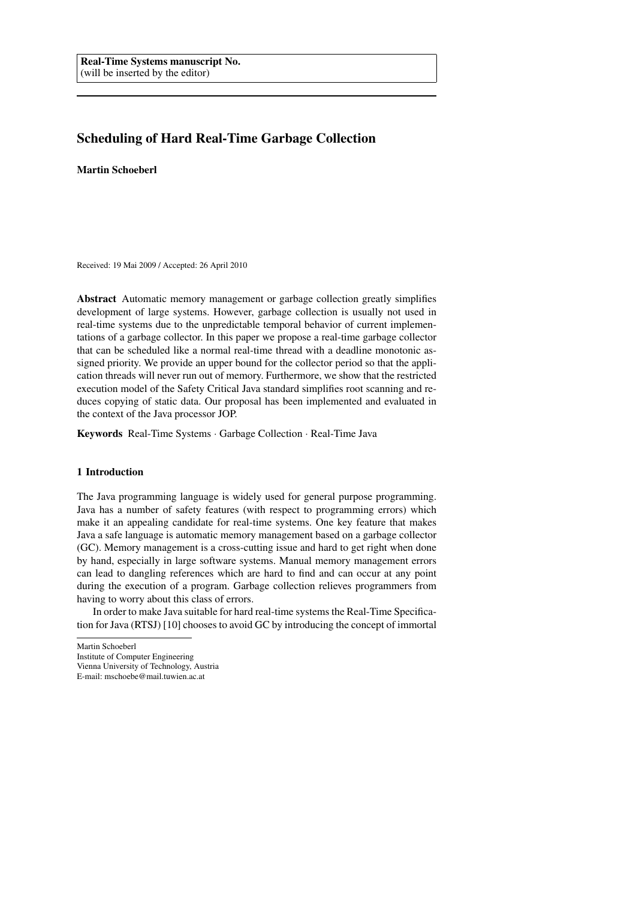# Scheduling of Hard Real-Time Garbage Collection

Martin Schoeberl

Received: 19 Mai 2009 / Accepted: 26 April 2010

Abstract Automatic memory management or garbage collection greatly simplifies development of large systems. However, garbage collection is usually not used in real-time systems due to the unpredictable temporal behavior of current implementations of a garbage collector. In this paper we propose a real-time garbage collector that can be scheduled like a normal real-time thread with a deadline monotonic assigned priority. We provide an upper bound for the collector period so that the application threads will never run out of memory. Furthermore, we show that the restricted execution model of the Safety Critical Java standard simplifies root scanning and reduces copying of static data. Our proposal has been implemented and evaluated in the context of the Java processor JOP.

Keywords Real-Time Systems · Garbage Collection · Real-Time Java

# 1 Introduction

The Java programming language is widely used for general purpose programming. Java has a number of safety features (with respect to programming errors) which make it an appealing candidate for real-time systems. One key feature that makes Java a safe language is automatic memory management based on a garbage collector (GC). Memory management is a cross-cutting issue and hard to get right when done by hand, especially in large software systems. Manual memory management errors can lead to dangling references which are hard to find and can occur at any point during the execution of a program. Garbage collection relieves programmers from having to worry about this class of errors.

In order to make Java suitable for hard real-time systems the Real-Time Specification for Java (RTSJ) [\[10\]](#page-35-0) chooses to avoid GC by introducing the concept of immortal

Institute of Computer Engineering

Vienna University of Technology, Austria

E-mail: mschoebe@mail.tuwien.ac.at

Martin Schoeberl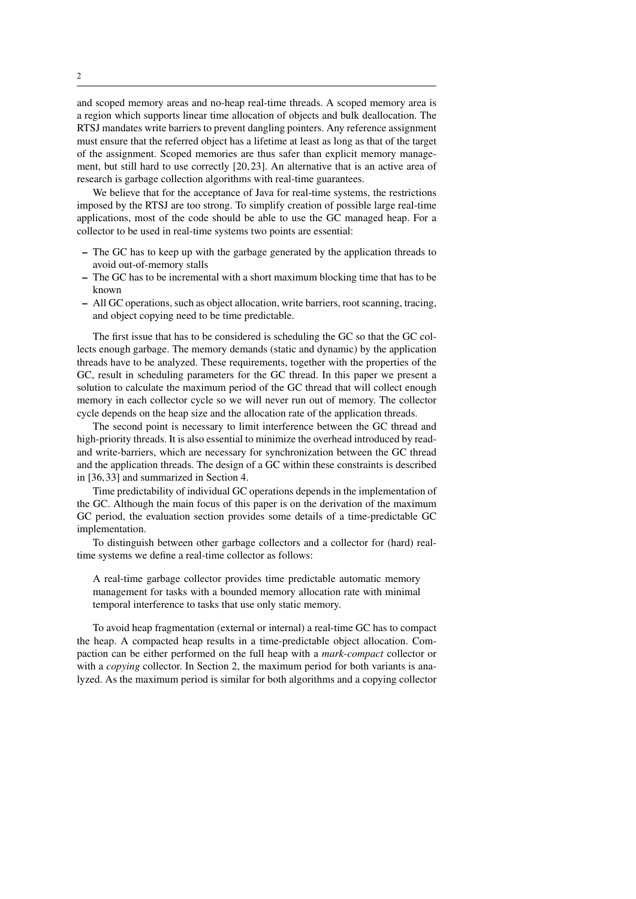and scoped memory areas and no-heap real-time threads. A scoped memory area is a region which supports linear time allocation of objects and bulk deallocation. The RTSJ mandates write barriers to prevent dangling pointers. Any reference assignment must ensure that the referred object has a lifetime at least as long as that of the target of the assignment. Scoped memories are thus safer than explicit memory management, but still hard to use correctly [\[20,](#page-35-1)[23\]](#page-36-0). An alternative that is an active area of research is garbage collection algorithms with real-time guarantees.

We believe that for the acceptance of Java for real-time systems, the restrictions imposed by the RTSJ are too strong. To simplify creation of possible large real-time applications, most of the code should be able to use the GC managed heap. For a collector to be used in real-time systems two points are essential:

- The GC has to keep up with the garbage generated by the application threads to avoid out-of-memory stalls
- The GC has to be incremental with a short maximum blocking time that has to be known
- All GC operations, such as object allocation, write barriers, root scanning, tracing, and object copying need to be time predictable.

The first issue that has to be considered is scheduling the GC so that the GC collects enough garbage. The memory demands (static and dynamic) by the application threads have to be analyzed. These requirements, together with the properties of the GC, result in scheduling parameters for the GC thread. In this paper we present a solution to calculate the maximum period of the GC thread that will collect enough memory in each collector cycle so we will never run out of memory. The collector cycle depends on the heap size and the allocation rate of the application threads.

The second point is necessary to limit interference between the GC thread and high-priority threads. It is also essential to minimize the overhead introduced by readand write-barriers, which are necessary for synchronization between the GC thread and the application threads. The design of a GC within these constraints is described in [\[36,](#page-36-1)[33\]](#page-36-2) and summarized in Section [4.](#page-18-0)

Time predictability of individual GC operations depends in the implementation of the GC. Although the main focus of this paper is on the derivation of the maximum GC period, the evaluation section provides some details of a time-predictable GC implementation.

To distinguish between other garbage collectors and a collector for (hard) realtime systems we define a real-time collector as follows:

A real-time garbage collector provides time predictable automatic memory management for tasks with a bounded memory allocation rate with minimal temporal interference to tasks that use only static memory.

To avoid heap fragmentation (external or internal) a real-time GC has to compact the heap. A compacted heap results in a time-predictable object allocation. Compaction can be either performed on the full heap with a *mark-compact* collector or with a *copying* collector. In Section [2,](#page-3-0) the maximum period for both variants is analyzed. As the maximum period is similar for both algorithms and a copying collector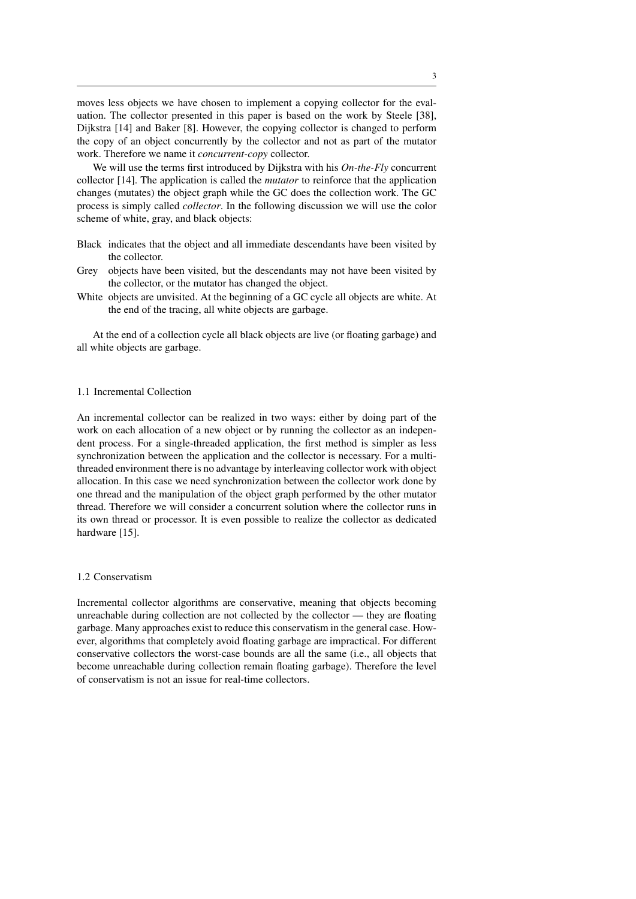moves less objects we have chosen to implement a copying collector for the evaluation. The collector presented in this paper is based on the work by Steele [\[38\]](#page-36-3), Dijkstra [\[14\]](#page-35-2) and Baker [\[8\]](#page-35-3). However, the copying collector is changed to perform the copy of an object concurrently by the collector and not as part of the mutator work. Therefore we name it *concurrent-copy* collector.

We will use the terms first introduced by Dijkstra with his *On-the-Fly* concurrent collector [\[14\]](#page-35-2). The application is called the *mutator* to reinforce that the application changes (mutates) the object graph while the GC does the collection work. The GC process is simply called *collector*. In the following discussion we will use the color scheme of white, gray, and black objects:

- Black indicates that the object and all immediate descendants have been visited by the collector.
- Grey objects have been visited, but the descendants may not have been visited by the collector, or the mutator has changed the object.
- White objects are unvisited. At the beginning of a GC cycle all objects are white. At the end of the tracing, all white objects are garbage.

At the end of a collection cycle all black objects are live (or floating garbage) and all white objects are garbage.

# 1.1 Incremental Collection

An incremental collector can be realized in two ways: either by doing part of the work on each allocation of a new object or by running the collector as an independent process. For a single-threaded application, the first method is simpler as less synchronization between the application and the collector is necessary. For a multithreaded environment there is no advantage by interleaving collector work with object allocation. In this case we need synchronization between the collector work done by one thread and the manipulation of the object graph performed by the other mutator thread. Therefore we will consider a concurrent solution where the collector runs in its own thread or processor. It is even possible to realize the collector as dedicated hardware [\[15\]](#page-35-4).

# 1.2 Conservatism

Incremental collector algorithms are conservative, meaning that objects becoming unreachable during collection are not collected by the collector — they are floating garbage. Many approaches exist to reduce this conservatism in the general case. However, algorithms that completely avoid floating garbage are impractical. For different conservative collectors the worst-case bounds are all the same (i.e., all objects that become unreachable during collection remain floating garbage). Therefore the level of conservatism is not an issue for real-time collectors.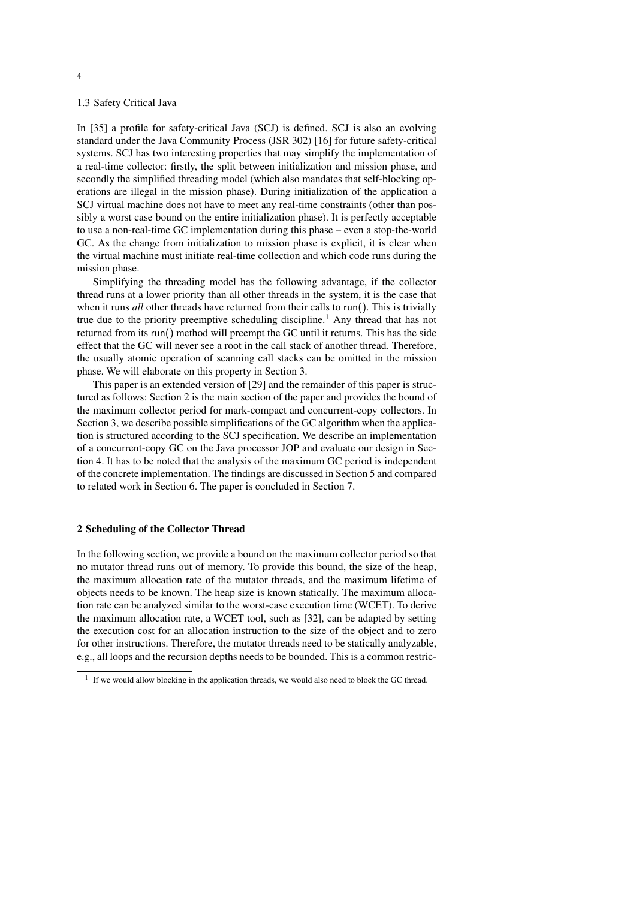# 1.3 Safety Critical Java

In [\[35\]](#page-36-4) a profile for safety-critical Java (SCJ) is defined. SCJ is also an evolving standard under the Java Community Process (JSR 302) [\[16\]](#page-35-5) for future safety-critical systems. SCJ has two interesting properties that may simplify the implementation of a real-time collector: firstly, the split between initialization and mission phase, and secondly the simplified threading model (which also mandates that self-blocking operations are illegal in the mission phase). During initialization of the application a SCJ virtual machine does not have to meet any real-time constraints (other than possibly a worst case bound on the entire initialization phase). It is perfectly acceptable to use a non-real-time GC implementation during this phase – even a stop-the-world GC. As the change from initialization to mission phase is explicit, it is clear when the virtual machine must initiate real-time collection and which code runs during the mission phase.

Simplifying the threading model has the following advantage, if the collector thread runs at a lower priority than all other threads in the system, it is the case that when it runs *all* other threads have returned from their calls to run(). This is trivially true due to the priority preemptive scheduling discipline.<sup>[1](#page-3-1)</sup> Any thread that has not returned from its run() method will preempt the GC until it returns. This has the side effect that the GC will never see a root in the call stack of another thread. Therefore, the usually atomic operation of scanning call stacks can be omitted in the mission phase. We will elaborate on this property in Section [3.](#page-16-0)

This paper is an extended version of [\[29\]](#page-36-5) and the remainder of this paper is structured as follows: Section [2](#page-3-0) is the main section of the paper and provides the bound of the maximum collector period for mark-compact and concurrent-copy collectors. In Section [3,](#page-16-0) we describe possible simplifications of the GC algorithm when the application is structured according to the SCJ specification. We describe an implementation of a concurrent-copy GC on the Java processor JOP and evaluate our design in Section [4.](#page-18-0) It has to be noted that the analysis of the maximum GC period is independent of the concrete implementation. The findings are discussed in Section [5](#page-31-0) and compared to related work in Section [6.](#page-33-0) The paper is concluded in Section [7.](#page-34-0)

## <span id="page-3-0"></span>2 Scheduling of the Collector Thread

In the following section, we provide a bound on the maximum collector period so that no mutator thread runs out of memory. To provide this bound, the size of the heap, the maximum allocation rate of the mutator threads, and the maximum lifetime of objects needs to be known. The heap size is known statically. The maximum allocation rate can be analyzed similar to the worst-case execution time (WCET). To derive the maximum allocation rate, a WCET tool, such as [\[32\]](#page-36-6), can be adapted by setting the execution cost for an allocation instruction to the size of the object and to zero for other instructions. Therefore, the mutator threads need to be statically analyzable, e.g., all loops and the recursion depths needs to be bounded. This is a common restric-

<span id="page-3-1"></span><sup>1</sup> If we would allow blocking in the application threads, we would also need to block the GC thread.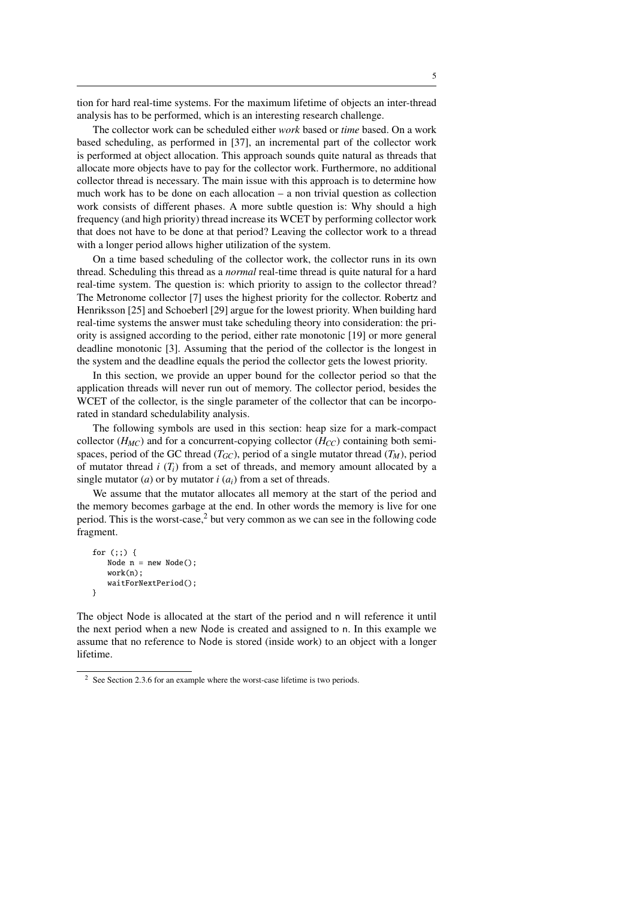tion for hard real-time systems. For the maximum lifetime of objects an inter-thread analysis has to be performed, which is an interesting research challenge.

The collector work can be scheduled either *work* based or *time* based. On a work based scheduling, as performed in [\[37\]](#page-36-7), an incremental part of the collector work is performed at object allocation. This approach sounds quite natural as threads that allocate more objects have to pay for the collector work. Furthermore, no additional collector thread is necessary. The main issue with this approach is to determine how much work has to be done on each allocation – a non trivial question as collection work consists of different phases. A more subtle question is: Why should a high frequency (and high priority) thread increase its WCET by performing collector work that does not have to be done at that period? Leaving the collector work to a thread with a longer period allows higher utilization of the system.

On a time based scheduling of the collector work, the collector runs in its own thread. Scheduling this thread as a *normal* real-time thread is quite natural for a hard real-time system. The question is: which priority to assign to the collector thread? The Metronome collector [\[7\]](#page-35-6) uses the highest priority for the collector. Robertz and Henriksson [\[25\]](#page-36-8) and Schoeberl [\[29\]](#page-36-5) argue for the lowest priority. When building hard real-time systems the answer must take scheduling theory into consideration: the priority is assigned according to the period, either rate monotonic [\[19\]](#page-35-7) or more general deadline monotonic [\[3\]](#page-35-8). Assuming that the period of the collector is the longest in the system and the deadline equals the period the collector gets the lowest priority.

In this section, we provide an upper bound for the collector period so that the application threads will never run out of memory. The collector period, besides the WCET of the collector, is the single parameter of the collector that can be incorporated in standard schedulability analysis.

The following symbols are used in this section: heap size for a mark-compact collector  $(H_{MC})$  and for a concurrent-copying collector  $(H_{CC})$  containing both semispaces, period of the GC thread  $(T_{GC})$ , period of a single mutator thread  $(T_M)$ , period of mutator thread *i* (*Ti*) from a set of threads, and memory amount allocated by a single mutator  $(a)$  or by mutator  $i(a_i)$  from a set of threads.

We assume that the mutator allocates all memory at the start of the period and the memory becomes garbage at the end. In other words the memory is live for one period. This is the worst-case, $2$  but very common as we can see in the following code fragment.

```
for (;;) {
   Node n = new Node();
   work(n);
   waitForNextPeriod();
}
```
The object Node is allocated at the start of the period and n will reference it until the next period when a new Node is created and assigned to n. In this example we assume that no reference to Node is stored (inside work) to an object with a longer lifetime.

<span id="page-4-0"></span> $2$  See Section [2.3.6](#page-15-0) for an example where the worst-case lifetime is two periods.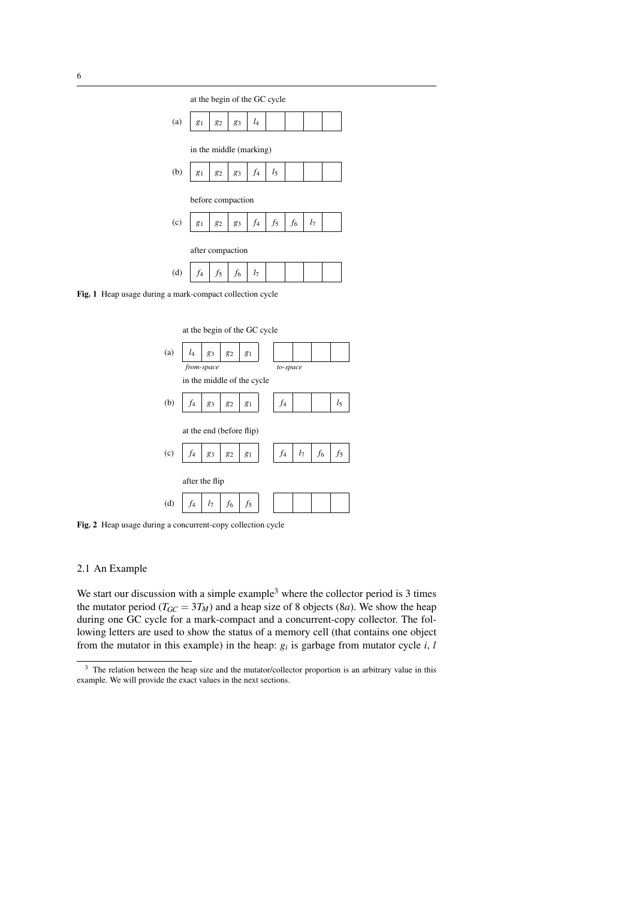

in the middle (marking)



before compaction



after compaction



<span id="page-5-1"></span>





<span id="page-5-2"></span>Fig. 2 Heap usage during a concurrent-copy collection cycle

#### 2.1 An Example

We start our discussion with a simple example<sup>[3](#page-5-0)</sup> where the collector period is 3 times the mutator period ( $T_{GC} = 3T_M$ ) and a heap size of 8 objects (8*a*). We show the heap during one GC cycle for a mark-compact and a concurrent-copy collector. The following letters are used to show the status of a memory cell (that contains one object from the mutator in this example) in the heap:  $g_i$  is garbage from mutator cycle  $i$ ,  $l$ 

<span id="page-5-0"></span><sup>&</sup>lt;sup>3</sup> The relation between the heap size and the mutator/collector proportion is an arbitrary value in this example. We will provide the exact values in the next sections.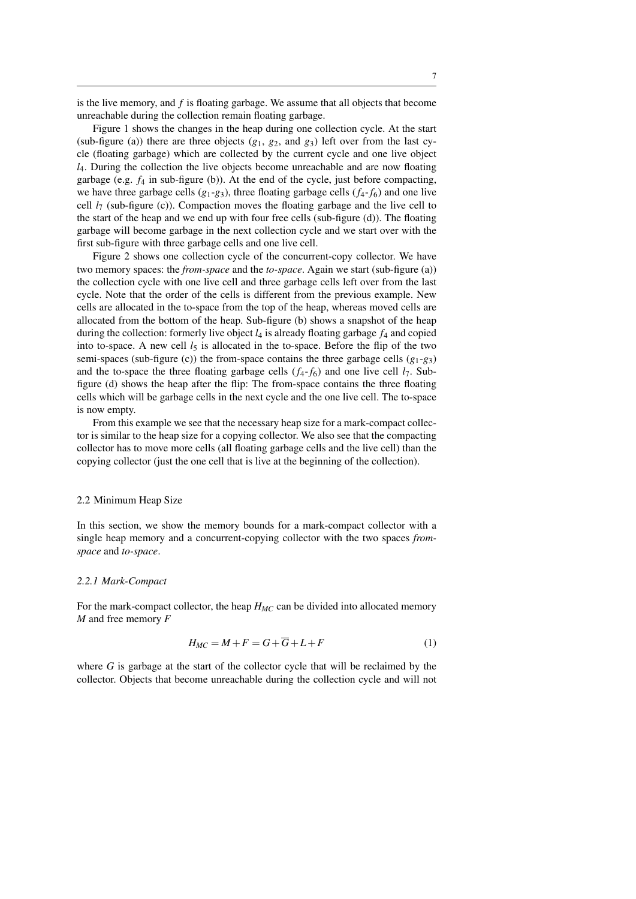is the live memory, and *f* is floating garbage. We assume that all objects that become unreachable during the collection remain floating garbage.

Figure [1](#page-5-1) shows the changes in the heap during one collection cycle. At the start (sub-figure (a)) there are three objects  $(g_1, g_2, \text{ and } g_3)$  left over from the last cycle (floating garbage) which are collected by the current cycle and one live object *l*4. During the collection the live objects become unreachable and are now floating garbage (e.g. *f*<sup>4</sup> in sub-figure (b)). At the end of the cycle, just before compacting, we have three garbage cells  $(g_1-g_3)$ , three floating garbage cells  $(f_4-f_6)$  and one live cell  $l_7$  (sub-figure (c)). Compaction moves the floating garbage and the live cell to the start of the heap and we end up with four free cells (sub-figure (d)). The floating garbage will become garbage in the next collection cycle and we start over with the first sub-figure with three garbage cells and one live cell.

Figure [2](#page-5-2) shows one collection cycle of the concurrent-copy collector. We have two memory spaces: the *from-space* and the *to-space*. Again we start (sub-figure (a)) the collection cycle with one live cell and three garbage cells left over from the last cycle. Note that the order of the cells is different from the previous example. New cells are allocated in the to-space from the top of the heap, whereas moved cells are allocated from the bottom of the heap. Sub-figure (b) shows a snapshot of the heap during the collection: formerly live object  $l_4$  is already floating garbage  $f_4$  and copied into to-space. A new cell  $l_5$  is allocated in the to-space. Before the flip of the two semi-spaces (sub-figure (c)) the from-space contains the three garbage cells  $(g_1-g_3)$ and the to-space the three floating garbage cells  $(f_4 - f_6)$  and one live cell  $l_7$ . Subfigure (d) shows the heap after the flip: The from-space contains the three floating cells which will be garbage cells in the next cycle and the one live cell. The to-space is now empty.

From this example we see that the necessary heap size for a mark-compact collector is similar to the heap size for a copying collector. We also see that the compacting collector has to move more cells (all floating garbage cells and the live cell) than the copying collector (just the one cell that is live at the beginning of the collection).

#### 2.2 Minimum Heap Size

In this section, we show the memory bounds for a mark-compact collector with a single heap memory and a concurrent-copying collector with the two spaces *fromspace* and *to-space*.

### <span id="page-6-0"></span>*2.2.1 Mark-Compact*

For the mark-compact collector, the heap *HMC* can be divided into allocated memory *M* and free memory *F*

$$
H_{MC} = M + F = G + \overline{G} + L + F \tag{1}
$$

where *G* is garbage at the start of the collector cycle that will be reclaimed by the collector. Objects that become unreachable during the collection cycle and will not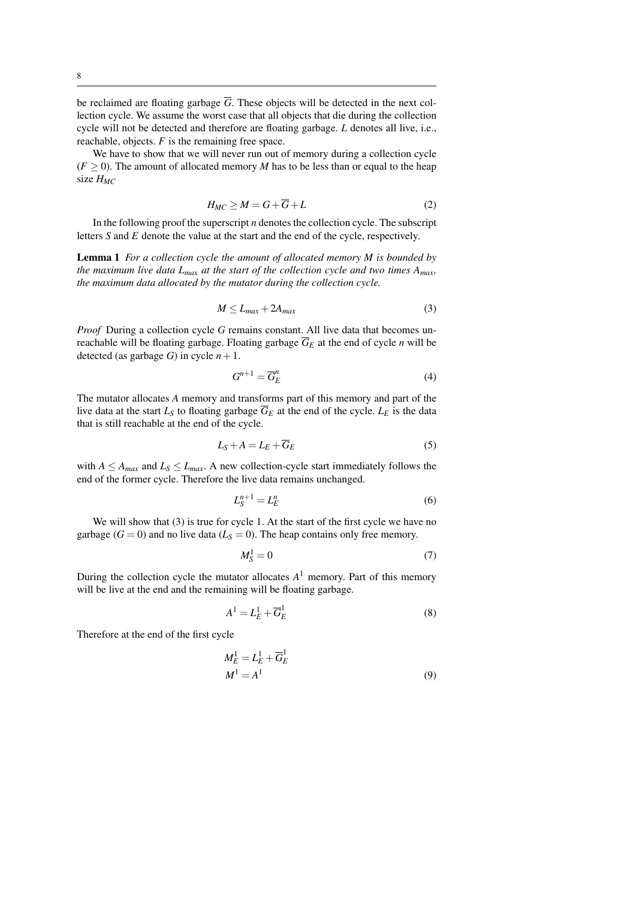be reclaimed are floating garbage  $\overline{G}$ . These objects will be detected in the next collection cycle. We assume the worst case that all objects that die during the collection cycle will not be detected and therefore are floating garbage. *L* denotes all live, i.e., reachable, objects. *F* is the remaining free space.

We have to show that we will never run out of memory during a collection cycle  $(F \geq 0)$ . The amount of allocated memory *M* has to be less than or equal to the heap size *HMC*

$$
H_{MC} \ge M = G + \overline{G} + L \tag{2}
$$

<span id="page-7-4"></span>In the following proof the superscript *n* denotes the collection cycle. The subscript letters *S* and *E* denote the value at the start and the end of the cycle, respectively.

<span id="page-7-0"></span>Lemma 1 *For a collection cycle the amount of allocated memory M is bounded by the maximum live data Lmax at the start of the collection cycle and two times Amax, the maximum data allocated by the mutator during the collection cycle.*

$$
M \le L_{max} + 2A_{max} \tag{3}
$$

*Proof* During a collection cycle *G* remains constant. All live data that becomes unreachable will be floating garbage. Floating garbage  $\overline{G}_E$  at the end of cycle *n* will be detected (as garbage *G*) in cycle  $n+1$ .

<span id="page-7-1"></span>
$$
G^{n+1} = \overline{G}_E^n \tag{4}
$$

The mutator allocates *A* memory and transforms part of this memory and part of the live data at the start  $L_S$  to floating garbage  $\overline{G}_E$  at the end of the cycle.  $L_E$  is the data that is still reachable at the end of the cycle.

<span id="page-7-2"></span>
$$
L_S + A = L_E + \overline{G}_E \tag{5}
$$

with  $A \leq A_{max}$  and  $L_s \leq L_{max}$ . A new collection-cycle start immediately follows the end of the former cycle. Therefore the live data remains unchanged.

<span id="page-7-3"></span>
$$
L_S^{n+1} = L_E^n \tag{6}
$$

We will show that [\(3\)](#page-7-0) is true for cycle 1. At the start of the first cycle we have no garbage ( $G = 0$ ) and no live data ( $L<sub>S</sub> = 0$ ). The heap contains only free memory.

$$
M_S^1 = 0 \tag{7}
$$

During the collection cycle the mutator allocates  $A<sup>1</sup>$  memory. Part of this memory will be live at the end and the remaining will be floating garbage.

$$
A^1 = L_E^1 + \overline{G}_E^1 \tag{8}
$$

Therefore at the end of the first cycle

$$
M_E^1 = L_E^1 + \overline{G}_E^1
$$
  
\n
$$
M^1 = A^1
$$
\n(9)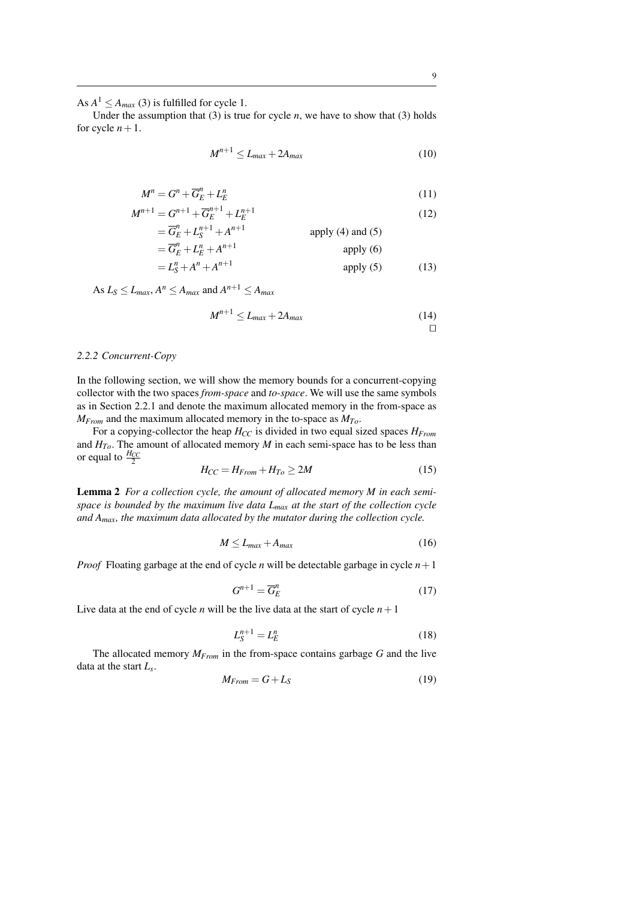$\Box$ 

As  $A^1 \leq A_{max}$  [\(3\)](#page-7-0) is fulfilled for cycle 1.

Under the assumption that  $(3)$  is true for cycle *n*, we have to show that  $(3)$  holds for cycle  $n+1$ .

$$
M^{n+1} \le L_{max} + 2A_{max} \tag{10}
$$

$$
M^n = G^n + \overline{G}_E^n + L_E^n \tag{11}
$$

$$
M^{n+1} = G^{n+1} + \overline{G}_E^{n+1} + L_E^{n+1}
$$
\n(12)

$$
= \overline{G}_E^n + L_S^{n+1} + A^{n+1}
$$
 apply (4) and (5)  
\n
$$
= \overline{G}_E^n + L_E^n + A^{n+1}
$$
 apply (6)  
\n
$$
= L_S^n + A^n + A^{n+1}
$$
 apply (5) (13)

 $A$ s  $L_S \le L_{max}$ ,  $A^n \le A_{max}$  and  $A^{n+1} \le A_{max}$ 

$$
M^{n+1} \le L_{max} + 2A_{max} \tag{14}
$$

## *2.2.2 Concurrent-Copy*

In the following section, we will show the memory bounds for a concurrent-copying collector with the two spaces *from-space* and *to-space*. We will use the same symbols as in Section [2.2.1](#page-6-0) and denote the maximum allocated memory in the from-space as  $M_{From}$  and the maximum allocated memory in the to-space as  $M_{To}$ .

For a copying-collector the heap *HCC* is divided in two equal sized spaces *HFrom* and  $H_{To}$ . The amount of allocated memory *M* in each semi-space has to be less than or equal to  $\frac{H_{CC}}{2}$ 

<span id="page-8-1"></span>
$$
H_{CC} = H_{From} + H_{To} \ge 2M\tag{15}
$$

<span id="page-8-0"></span>Lemma 2 *For a collection cycle, the amount of allocated memory M in each semispace is bounded by the maximum live data Lmax at the start of the collection cycle and Amax, the maximum data allocated by the mutator during the collection cycle.*

$$
M \le L_{max} + A_{max} \tag{16}
$$

*Proof* Floating garbage at the end of cycle *n* will be detectable garbage in cycle  $n+1$ 

$$
G^{n+1} = \overline{G}_E^n \tag{17}
$$

Live data at the end of cycle *n* will be the live data at the start of cycle  $n+1$ 

$$
L_S^{n+1} = L_E^n \tag{18}
$$

The allocated memory *MFrom* in the from-space contains garbage *G* and the live data at the start *L<sup>s</sup>* .

$$
M_{From} = G + L_S \tag{19}
$$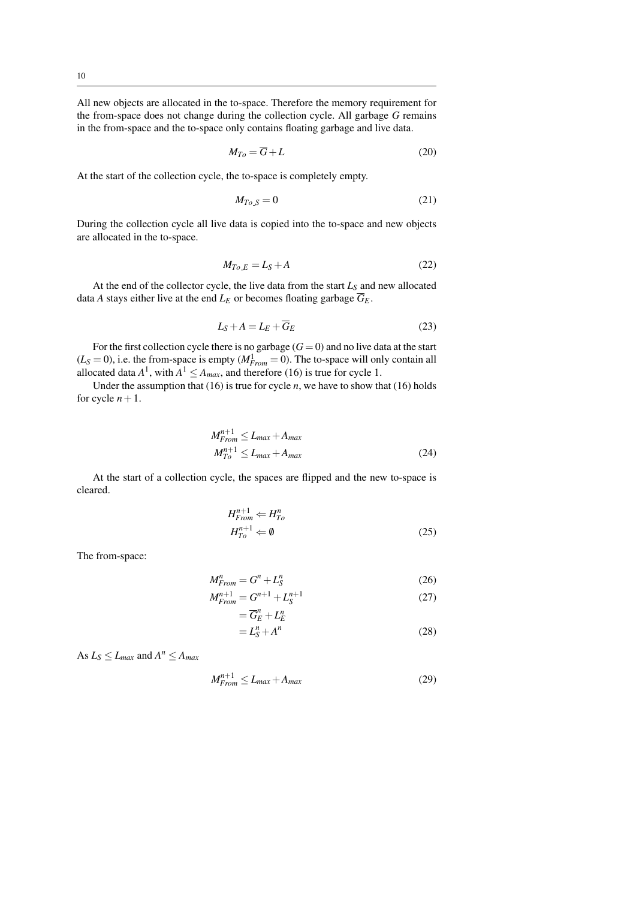All new objects are allocated in the to-space. Therefore the memory requirement for the from-space does not change during the collection cycle. All garbage *G* remains in the from-space and the to-space only contains floating garbage and live data.

$$
M_{To} = \overline{G} + L \tag{20}
$$

At the start of the collection cycle, the to-space is completely empty.

$$
M_{To,S} = 0\tag{21}
$$

During the collection cycle all live data is copied into the to-space and new objects are allocated in the to-space.

$$
M_{To,E} = L_S + A \tag{22}
$$

At the end of the collector cycle, the live data from the start  $L_S$  and new allocated data *A* stays either live at the end  $L_E$  or becomes floating garbage  $\overline{G}_E$ .

$$
L_S + A = L_E + \overline{G}_E \tag{23}
$$

For the first collection cycle there is no garbage  $(G = 0)$  and no live data at the start  $(L<sub>S</sub> = 0)$ , i.e. the from-space is empty  $(M<sub>From</sub><sup>1</sup> = 0)$ . The to-space will only contain all allocated data  $A^1$ , with  $A^1 \leq A_{max}$ , and therefore [\(16\)](#page-8-0) is true for cycle 1.

Under the assumption that  $(16)$  is true for cycle *n*, we have to show that  $(16)$  holds for cycle  $n+1$ .

$$
M_{From}^{n+1} \le L_{max} + A_{max}
$$
  
\n
$$
M_{To}^{n+1} \le L_{max} + A_{max}
$$
\n(24)

At the start of a collection cycle, the spaces are flipped and the new to-space is cleared.

$$
H_{From}^{n+1} \leftarrow H_{To}^{n}
$$
  

$$
H_{To}^{n+1} \leftarrow \emptyset
$$
 (25)

The from-space:

$$
M_{From}^n = G^n + L_S^n \tag{26}
$$

$$
M_{From}^{n+1} = G^{n+1} + L_S^{n+1}
$$
 (27)

$$
=\overline{G}_E^n + L_E^n
$$
  
=  $L_S^n + A^n$  (28)

As  $L_S \le L_{max}$  and  $A^n \le A_{max}$ 

$$
M_{From}^{n+1} \le L_{max} + A_{max} \tag{29}
$$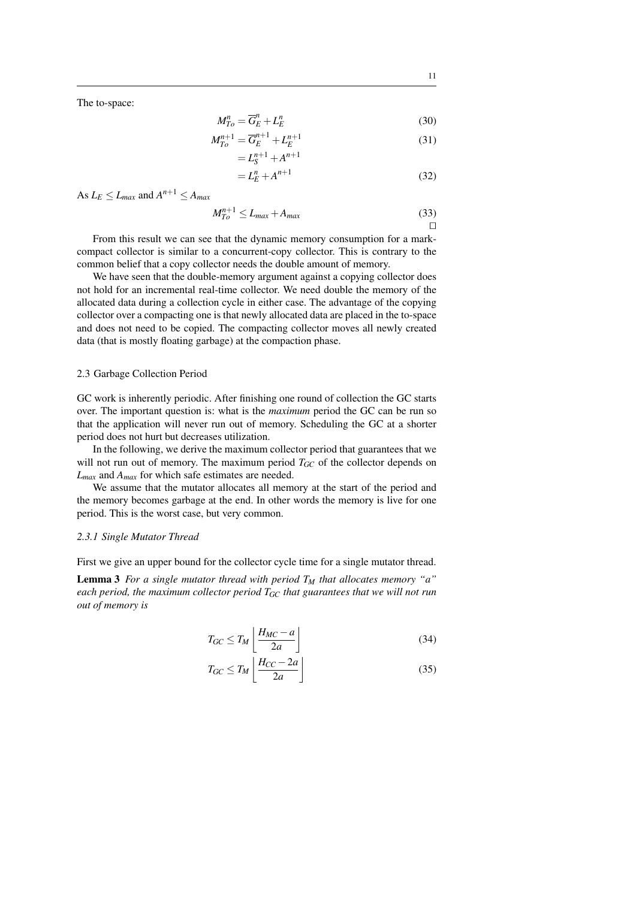$$
M_{To}^n = \overline{G}_E^n + L_E^n \tag{30}
$$

$$
M_{To}^{n+1} = \overline{G}_E^{n+1} + L_E^{n+1}
$$
 (31)

$$
= L_S^{n+1} + A^{n+1}
$$
  
= L\_E^n + A^{n+1} (32)

As  $L_E \le L_{max}$  and  $A^{n+1} \le A_{max}$ 

$$
M_{To}^{n+1} \le L_{max} + A_{max} \tag{33}
$$

 $\Box$ 

From this result we can see that the dynamic memory consumption for a markcompact collector is similar to a concurrent-copy collector. This is contrary to the common belief that a copy collector needs the double amount of memory.

We have seen that the double-memory argument against a copying collector does not hold for an incremental real-time collector. We need double the memory of the allocated data during a collection cycle in either case. The advantage of the copying collector over a compacting one is that newly allocated data are placed in the to-space and does not need to be copied. The compacting collector moves all newly created data (that is mostly floating garbage) at the compaction phase.

# 2.3 Garbage Collection Period

GC work is inherently periodic. After finishing one round of collection the GC starts over. The important question is: what is the *maximum* period the GC can be run so that the application will never run out of memory. Scheduling the GC at a shorter period does not hurt but decreases utilization.

In the following, we derive the maximum collector period that guarantees that we will not run out of memory. The maximum period  $T_{GC}$  of the collector depends on *Lmax* and *Amax* for which safe estimates are needed.

We assume that the mutator allocates all memory at the start of the period and the memory becomes garbage at the end. In other words the memory is live for one period. This is the worst case, but very common.

### *2.3.1 Single Mutator Thread*

First we give an upper bound for the collector cycle time for a single mutator thread.

Lemma 3 *For a single mutator thread with period T<sup>M</sup> that allocates memory "a" each period, the maximum collector period TGC that guarantees that we will not run out of memory is*

$$
T_{GC} \le T_M \left[ \frac{H_{MC} - a}{2a} \right] \tag{34}
$$

$$
T_{GC} \le T_M \left[ \frac{H_{CC} - 2a}{2a} \right] \tag{35}
$$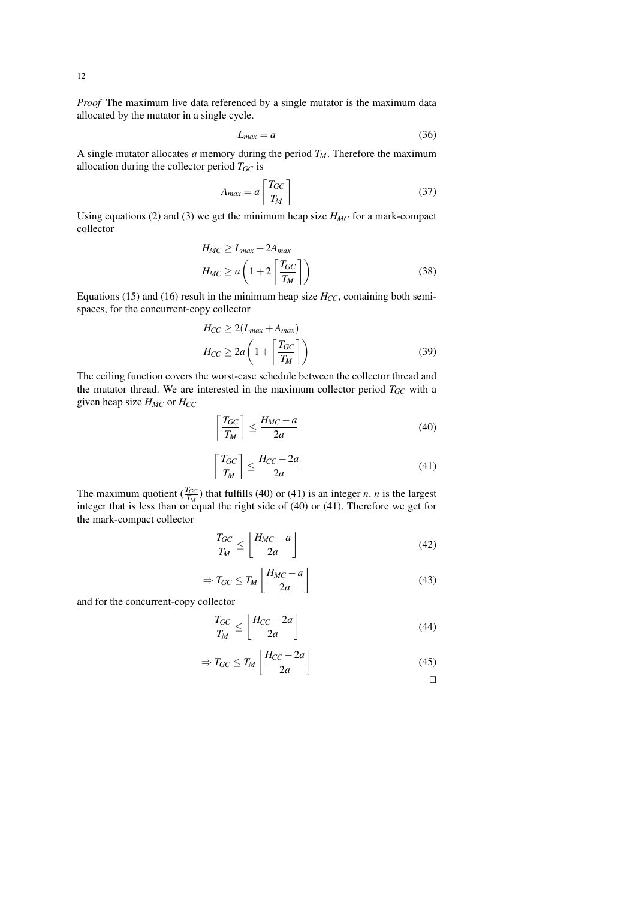*Proof* The maximum live data referenced by a single mutator is the maximum data allocated by the mutator in a single cycle.

$$
L_{max} = a \tag{36}
$$

A single mutator allocates *a* memory during the period *TM*. Therefore the maximum allocation during the collector period  $T_{GC}$  is

$$
A_{max} = a \left[ \frac{T_{GC}}{T_M} \right] \tag{37}
$$

Using equations [\(2\)](#page-7-4) and [\(3\)](#page-7-0) we get the minimum heap size  $H_{MC}$  for a mark-compact collector

$$
H_{MC} \ge L_{max} + 2A_{max}
$$
  

$$
H_{MC} \ge a \left( 1 + 2 \left\lceil \frac{T_{GC}}{T_M} \right\rceil \right)
$$
 (38)

Equations [\(15\)](#page-8-1) and [\(16\)](#page-8-0) result in the minimum heap size  $H_{CC}$ , containing both semispaces, for the concurrent-copy collector

$$
H_{CC} \ge 2(L_{max} + A_{max})
$$
  
\n
$$
H_{CC} \ge 2a \left( 1 + \left\lceil \frac{T_{GC}}{T_M} \right\rceil \right)
$$
\n(39)

The ceiling function covers the worst-case schedule between the collector thread and the mutator thread. We are interested in the maximum collector period  $T_{GC}$  with a given heap size  $H_{MC}$  or  $H_{CC}$ 

<span id="page-11-0"></span>
$$
\left\lceil \frac{T_{GC}}{T_M} \right\rceil \le \frac{H_{MC} - a}{2a} \tag{40}
$$

<span id="page-11-1"></span>
$$
\left\lceil \frac{T_{GC}}{T_M} \right\rceil \le \frac{H_{CC} - 2a}{2a} \tag{41}
$$

The maximum quotient  $(\frac{T_{GC}}{T_M})$  that fulfills [\(40\)](#page-11-0) or [\(41\)](#page-11-1) is an integer *n*. *n* is the largest integer that is less than or equal the right side of [\(40\)](#page-11-0) or [\(41\)](#page-11-1). Therefore we get for the mark-compact collector

$$
\frac{T_{GC}}{T_M} \le \left\lfloor \frac{H_{MC} - a}{2a} \right\rfloor \tag{42}
$$

$$
\Rightarrow T_{GC} \le T_M \left[ \frac{H_{MC} - a}{2a} \right] \tag{43}
$$

and for the concurrent-copy collector

$$
\frac{T_{GC}}{T_M} \le \left\lfloor \frac{H_{CC} - 2a}{2a} \right\rfloor \tag{44}
$$

$$
\Rightarrow T_{GC} \le T_M \left[ \frac{H_{CC} - 2a}{2a} \right] \tag{45}
$$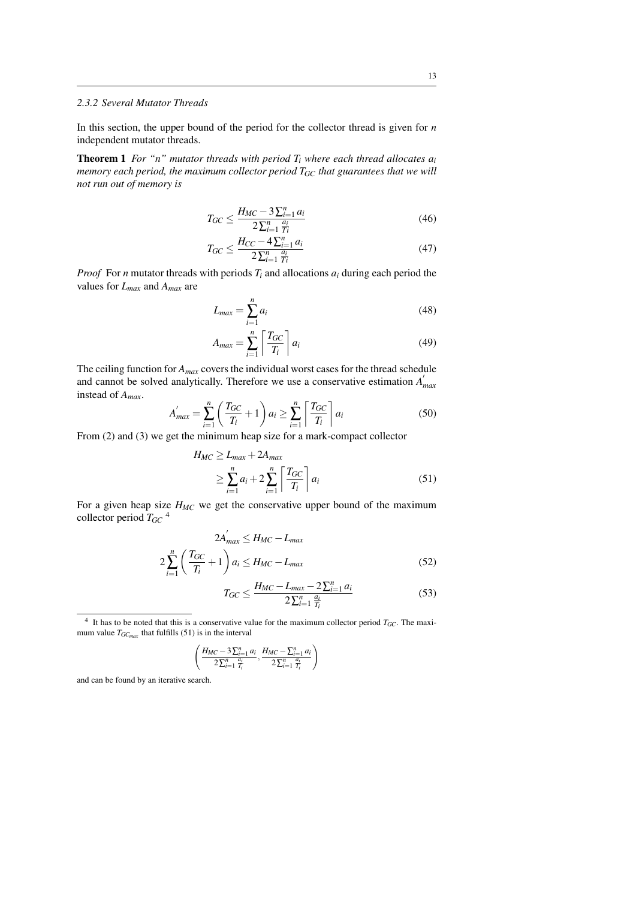## *2.3.2 Several Mutator Threads*

In this section, the upper bound of the period for the collector thread is given for *n* independent mutator threads.

<span id="page-12-3"></span>**Theorem 1** *For "n" mutator threads with period*  $T_i$  *where each thread allocates*  $a_i$ *memory each period, the maximum collector period TGC that guarantees that we will not run out of memory is*

$$
T_{GC} \le \frac{H_{MC} - 3\sum_{i=1}^{n} a_i}{2\sum_{i=1}^{n} \frac{a_i}{T_i}}
$$
(46)

$$
T_{GC} \le \frac{H_{CC} - 4\sum_{i=1}^{n} a_i}{2\sum_{i=1}^{n} \frac{a_i}{Ti}}
$$
\n(47)

*Proof* For *n* mutator threads with periods  $T_i$  and allocations  $a_i$  during each period the values for *Lmax* and *Amax* are

<span id="page-12-2"></span>
$$
L_{\text{max}} = \sum_{i=1}^{n} a_i \tag{48}
$$

$$
A_{max} = \sum_{i=1}^{n} \left[ \frac{T_{GC}}{T_i} \right] a_i \tag{49}
$$

The ceiling function for *Amax* covers the individual worst cases for the thread schedule and cannot be solved analytically. Therefore we use a conservative estimation  $A'_{max}$ instead of *Amax*.

$$
A'_{max} = \sum_{i=1}^{n} \left( \frac{T_{GC}}{T_i} + 1 \right) a_i \ge \sum_{i=1}^{n} \left[ \frac{T_{GC}}{T_i} \right] a_i \tag{50}
$$

From [\(2\)](#page-7-4) and [\(3\)](#page-7-0) we get the minimum heap size for a mark-compact collector

<span id="page-12-1"></span>
$$
H_{MC} \ge L_{max} + 2A_{max}
$$
  
\n
$$
\ge \sum_{i=1}^{n} a_i + 2\sum_{i=1}^{n} \left[ \frac{T_{GC}}{T_i} \right] a_i
$$
 (51)

For a given heap size *HMC* we get the conservative upper bound of the maximum collector period *TGC* [4](#page-12-0)

$$
2A'_{max} \le H_{MC} - L_{max}
$$
  

$$
2\sum_{i=1}^{n} \left(\frac{T_{GC}}{T_i} + 1\right) a_i \le H_{MC} - L_{max}
$$
 (52)

$$
T_{GC} \le \frac{H_{MC} - L_{max} - 2\sum_{i=1}^{n} a_i}{2\sum_{i=1}^{n} \frac{a_i}{T_i}}
$$
(53)

$$
\left(\frac{H_{MC} - 3\sum_{i=1}^{n} a_i}{2\sum_{i=1}^{n} \frac{a_i}{T_i}}, \frac{H_{MC} - \sum_{i=1}^{n} a_i}{2\sum_{i=1}^{n} \frac{a_i}{T_i}}\right)
$$

and can be found by an iterative search.

<span id="page-12-0"></span><sup>4</sup> It has to be noted that this is a conservative value for the maximum collector period *TGC*. The maximum value *TGCmax* that fulfills [\(51\)](#page-12-1) is in the interval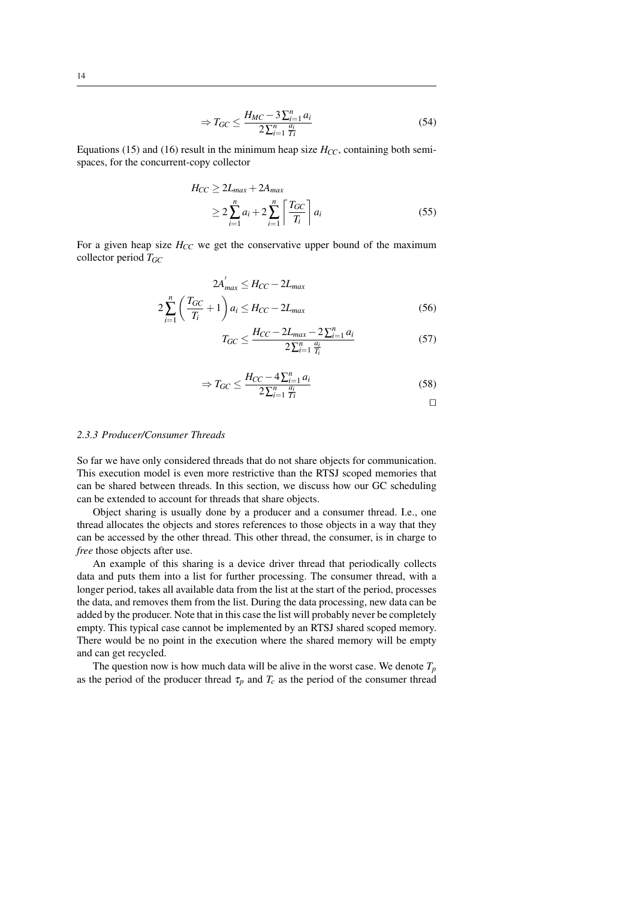$$
\Rightarrow T_{GC} \le \frac{H_{MC} - 3\sum_{i=1}^{n} a_i}{2\sum_{i=1}^{n} \frac{a_i}{Ti}} \tag{54}
$$

Equations [\(15\)](#page-8-1) and [\(16\)](#page-8-0) result in the minimum heap size  $H_{CC}$ , containing both semispaces, for the concurrent-copy collector

$$
H_{CC} \ge 2L_{max} + 2A_{max}
$$
  
\n
$$
\ge 2\sum_{i=1}^{n} a_i + 2\sum_{i=1}^{n} \left[ \frac{T_{GC}}{T_i} \right] a_i
$$
 (55)

For a given heap size  $H_{CC}$  we get the conservative upper bound of the maximum collector period *TGC*

$$
2A'_{max} \leq H_{CC} - 2L_{max}
$$
  

$$
2\sum_{i=1}^{n} \left(\frac{T_{GC}}{T_i} + 1\right) a_i \leq H_{CC} - 2L_{max}
$$
 (56)

$$
T_{GC} \le \frac{H_{CC} - 2L_{max} - 2\sum_{i=1}^{n} a_i}{2\sum_{i=1}^{n} \frac{a_i}{T_i}}
$$
(57)

$$
\Rightarrow T_{GC} \leq \frac{H_{CC} - 4\sum_{i=1}^{n} a_i}{2\sum_{i=1}^{n} \frac{a_i}{T_i}}
$$
(58)

$$
\qquad \qquad \Box
$$

#### <span id="page-13-0"></span>*2.3.3 Producer/Consumer Threads*

So far we have only considered threads that do not share objects for communication. This execution model is even more restrictive than the RTSJ scoped memories that can be shared between threads. In this section, we discuss how our GC scheduling can be extended to account for threads that share objects.

Object sharing is usually done by a producer and a consumer thread. I.e., one thread allocates the objects and stores references to those objects in a way that they can be accessed by the other thread. This other thread, the consumer, is in charge to *free* those objects after use.

An example of this sharing is a device driver thread that periodically collects data and puts them into a list for further processing. The consumer thread, with a longer period, takes all available data from the list at the start of the period, processes the data, and removes them from the list. During the data processing, new data can be added by the producer. Note that in this case the list will probably never be completely empty. This typical case cannot be implemented by an RTSJ shared scoped memory. There would be no point in the execution where the shared memory will be empty and can get recycled.

The question now is how much data will be alive in the worst case. We denote  $T_p$ as the period of the producer thread  $\tau_p$  and  $T_c$  as the period of the consumer thread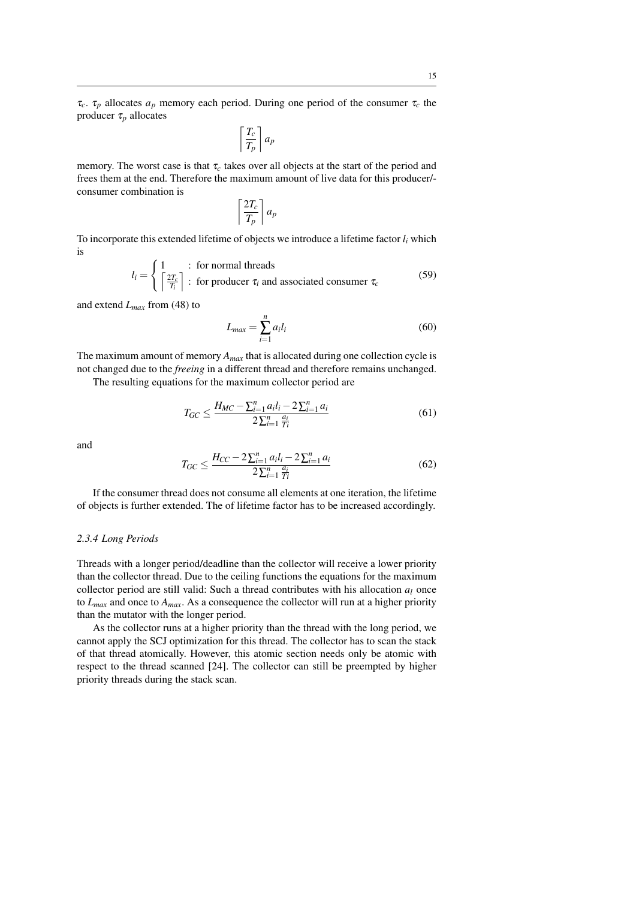$\tau_c$ .  $\tau_p$  allocates  $a_p$  memory each period. During one period of the consumer  $\tau_c$  the producer  $\tau_p$  allocates

$$
\left\lceil \frac{T_c}{T_p} \right\rceil a_p
$$

memory. The worst case is that  $\tau_c$  takes over all objects at the start of the period and frees them at the end. Therefore the maximum amount of live data for this producer/ consumer combination is

$$
\left\lceil \frac{2T_c}{T_p} \right\rceil a_p
$$

To incorporate this extended lifetime of objects we introduce a lifetime factor *l<sup>i</sup>* which is

$$
l_i = \begin{cases} 1 & \text{: for normal threads} \\ \left\lceil \frac{2T_c}{T_i} \right\rceil : \text{ for producer } \tau_i \text{ and associated consumer } \tau_c \end{cases}
$$
 (59)

and extend *Lmax* from [\(48\)](#page-12-2) to

$$
L_{max} = \sum_{i=1}^{n} a_i l_i \tag{60}
$$

The maximum amount of memory *Amax* that is allocated during one collection cycle is not changed due to the *freeing* in a different thread and therefore remains unchanged.

The resulting equations for the maximum collector period are

$$
T_{GC} \le \frac{H_{MC} - \sum_{i=1}^{n} a_i l_i - 2\sum_{i=1}^{n} a_i}{2\sum_{i=1}^{n} \frac{a_i}{T_i}}
$$
(61)

and

$$
T_{GC} \le \frac{H_{CC} - 2\sum_{i=1}^{n} a_i l_i - 2\sum_{i=1}^{n} a_i}{2\sum_{i=1}^{n} \frac{a_i}{T_i}}
$$
(62)

If the consumer thread does not consume all elements at one iteration, the lifetime of objects is further extended. The of lifetime factor has to be increased accordingly.

#### *2.3.4 Long Periods*

Threads with a longer period/deadline than the collector will receive a lower priority than the collector thread. Due to the ceiling functions the equations for the maximum collector period are still valid: Such a thread contributes with his allocation  $a_l$  once to  $L_{max}$  and once to  $A_{max}$ . As a consequence the collector will run at a higher priority than the mutator with the longer period.

As the collector runs at a higher priority than the thread with the long period, we cannot apply the SCJ optimization for this thread. The collector has to scan the stack of that thread atomically. However, this atomic section needs only be atomic with respect to the thread scanned [\[24\]](#page-36-9). The collector can still be preempted by higher priority threads during the stack scan.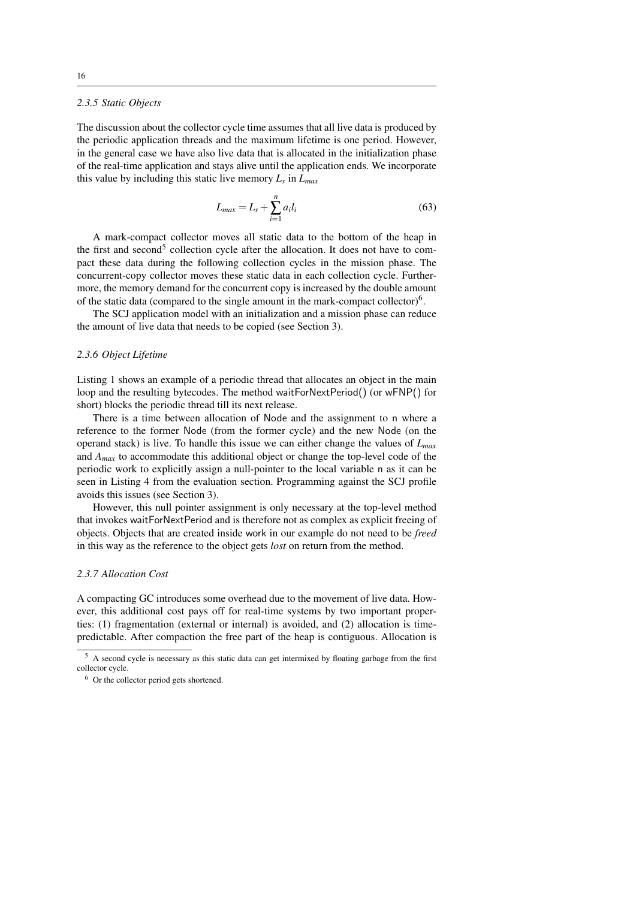## *2.3.5 Static Objects*

The discussion about the collector cycle time assumes that all live data is produced by the periodic application threads and the maximum lifetime is one period. However, in the general case we have also live data that is allocated in the initialization phase of the real-time application and stays alive until the application ends. We incorporate this value by including this static live memory *L<sup>s</sup>* in *Lmax*

$$
L_{max} = L_s + \sum_{i=1}^{n} a_i l_i
$$
 (63)

A mark-compact collector moves all static data to the bottom of the heap in the first and second<sup>[5](#page-15-1)</sup> collection cycle after the allocation. It does not have to compact these data during the following collection cycles in the mission phase. The concurrent-copy collector moves these static data in each collection cycle. Furthermore, the memory demand for the concurrent copy is increased by the double amount of the static data (compared to the single amount in the mark-compact collector) $6$ .

The SCJ application model with an initialization and a mission phase can reduce the amount of live data that needs to be copied (see Section [3\)](#page-16-0).

#### <span id="page-15-0"></span>*2.3.6 Object Lifetime*

Listing [1](#page-16-1) shows an example of a periodic thread that allocates an object in the main loop and the resulting bytecodes. The method waitForNextPeriod() (or wFNP() for short) blocks the periodic thread till its next release.

There is a time between allocation of Node and the assignment to n where a reference to the former Node (from the former cycle) and the new Node (on the operand stack) is live. To handle this issue we can either change the values of *Lmax* and *Amax* to accommodate this additional object or change the top-level code of the periodic work to explicitly assign a null-pointer to the local variable n as it can be seen in Listing [4](#page-24-0) from the evaluation section. Programming against the SCJ profile avoids this issues (see Section [3\)](#page-16-0).

However, this null pointer assignment is only necessary at the top-level method that invokes waitForNextPeriod and is therefore not as complex as explicit freeing of objects. Objects that are created inside work in our example do not need to be *freed* in this way as the reference to the object gets *lost* on return from the method.

# *2.3.7 Allocation Cost*

A compacting GC introduces some overhead due to the movement of live data. However, this additional cost pays off for real-time systems by two important properties: (1) fragmentation (external or internal) is avoided, and (2) allocation is timepredictable. After compaction the free part of the heap is contiguous. Allocation is

<span id="page-15-1"></span><sup>5</sup> A second cycle is necessary as this static data can get intermixed by floating garbage from the first collector cycle.

<span id="page-15-2"></span><sup>&</sup>lt;sup>6</sup> Or the collector period gets shortened.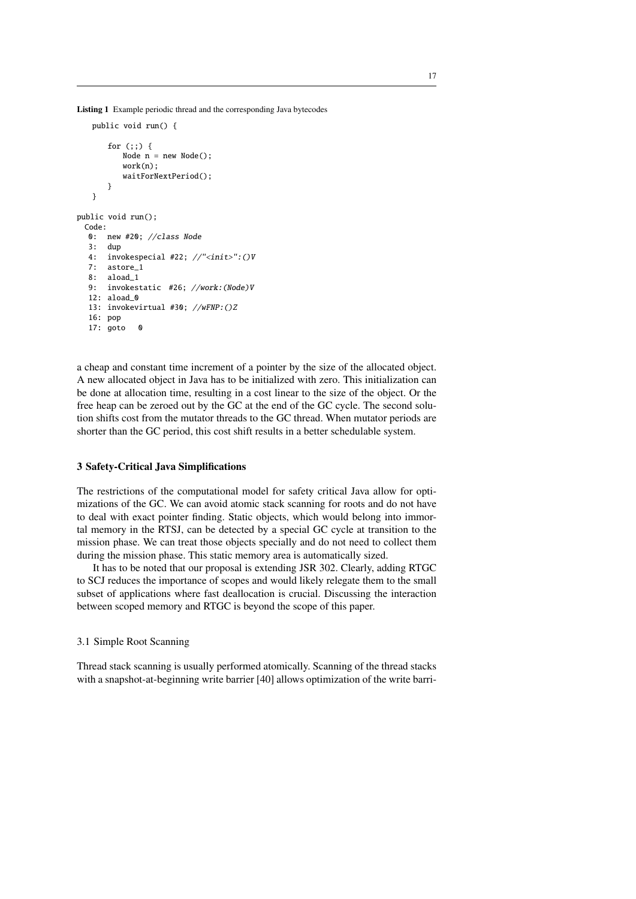<span id="page-16-1"></span>Listing 1 Example periodic thread and the corresponding Java bytecodes

```
public void run() {
      for (;;) {
          Node n = new Node();
          work(n);
          waitForNextPeriod();
      }
   }
public void run();
 Code:
  0: new #20; //class Node
  3: dup
  4: invokespecial #22; //"<init>":()V
  7: astore_1
  8: aload_1
  9: invokestatic #26; //work:(Node)V
  12: aload_0
  13: invokevirtual #30; //wFNP:()Z
  16: pop
  17: goto 0
```
a cheap and constant time increment of a pointer by the size of the allocated object. A new allocated object in Java has to be initialized with zero. This initialization can be done at allocation time, resulting in a cost linear to the size of the object. Or the free heap can be zeroed out by the GC at the end of the GC cycle. The second solution shifts cost from the mutator threads to the GC thread. When mutator periods are shorter than the GC period, this cost shift results in a better schedulable system.

# <span id="page-16-0"></span>3 Safety-Critical Java Simplifications

The restrictions of the computational model for safety critical Java allow for optimizations of the GC. We can avoid atomic stack scanning for roots and do not have to deal with exact pointer finding. Static objects, which would belong into immortal memory in the RTSJ, can be detected by a special GC cycle at transition to the mission phase. We can treat those objects specially and do not need to collect them during the mission phase. This static memory area is automatically sized.

It has to be noted that our proposal is extending JSR 302. Clearly, adding RTGC to SCJ reduces the importance of scopes and would likely relegate them to the small subset of applications where fast deallocation is crucial. Discussing the interaction between scoped memory and RTGC is beyond the scope of this paper.

# 3.1 Simple Root Scanning

Thread stack scanning is usually performed atomically. Scanning of the thread stacks with a snapshot-at-beginning write barrier [\[40\]](#page-36-10) allows optimization of the write barri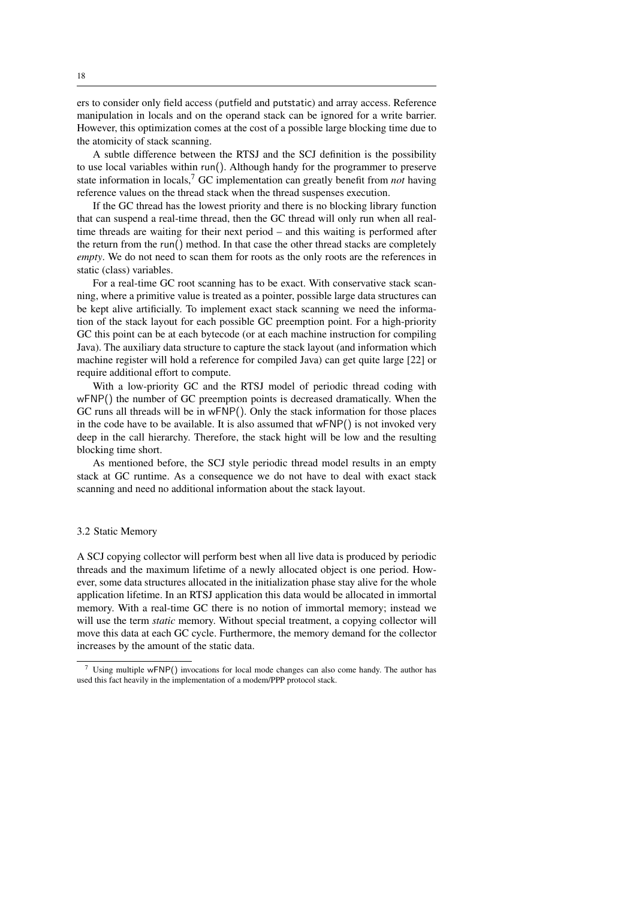ers to consider only field access (putfield and putstatic) and array access. Reference manipulation in locals and on the operand stack can be ignored for a write barrier. However, this optimization comes at the cost of a possible large blocking time due to the atomicity of stack scanning.

A subtle difference between the RTSJ and the SCJ definition is the possibility to use local variables within run(). Although handy for the programmer to preserve state information in locals,<sup>[7](#page-17-0)</sup> GC implementation can greatly benefit from *not* having reference values on the thread stack when the thread suspenses execution.

If the GC thread has the lowest priority and there is no blocking library function that can suspend a real-time thread, then the GC thread will only run when all realtime threads are waiting for their next period – and this waiting is performed after the return from the run() method. In that case the other thread stacks are completely *empty*. We do not need to scan them for roots as the only roots are the references in static (class) variables.

For a real-time GC root scanning has to be exact. With conservative stack scanning, where a primitive value is treated as a pointer, possible large data structures can be kept alive artificially. To implement exact stack scanning we need the information of the stack layout for each possible GC preemption point. For a high-priority GC this point can be at each bytecode (or at each machine instruction for compiling Java). The auxiliary data structure to capture the stack layout (and information which machine register will hold a reference for compiled Java) can get quite large [\[22\]](#page-36-11) or require additional effort to compute.

With a low-priority GC and the RTSJ model of periodic thread coding with wFNP() the number of GC preemption points is decreased dramatically. When the GC runs all threads will be in wFNP(). Only the stack information for those places in the code have to be available. It is also assumed that  $wFNP()$  is not invoked very deep in the call hierarchy. Therefore, the stack hight will be low and the resulting blocking time short.

As mentioned before, the SCJ style periodic thread model results in an empty stack at GC runtime. As a consequence we do not have to deal with exact stack scanning and need no additional information about the stack layout.

#### 3.2 Static Memory

A SCJ copying collector will perform best when all live data is produced by periodic threads and the maximum lifetime of a newly allocated object is one period. However, some data structures allocated in the initialization phase stay alive for the whole application lifetime. In an RTSJ application this data would be allocated in immortal memory. With a real-time GC there is no notion of immortal memory; instead we will use the term *static* memory. Without special treatment, a copying collector will move this data at each GC cycle. Furthermore, the memory demand for the collector increases by the amount of the static data.

<span id="page-17-0"></span> $\frac{7}{1}$  Using multiple wFNP() invocations for local mode changes can also come handy. The author has used this fact heavily in the implementation of a modem/PPP protocol stack.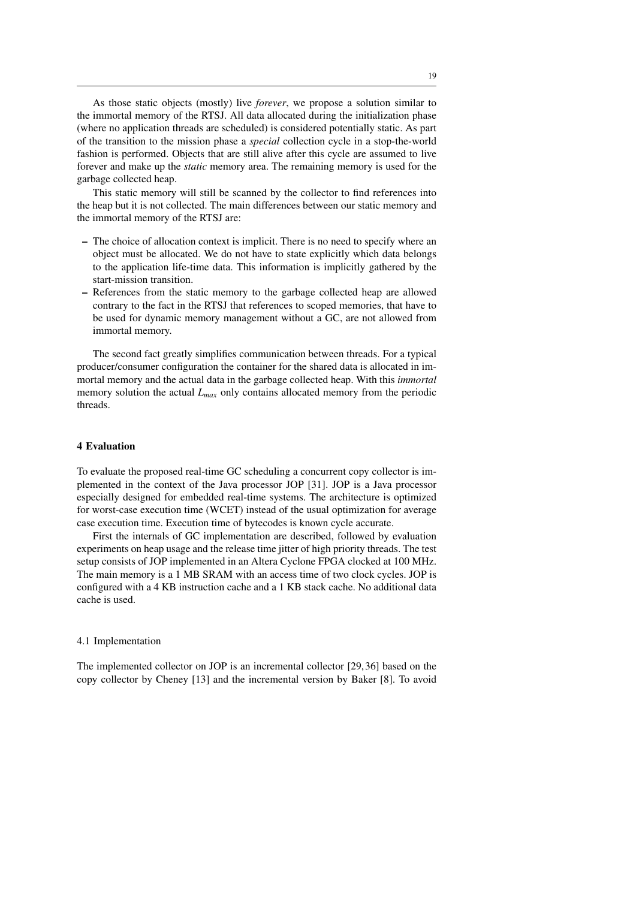As those static objects (mostly) live *forever*, we propose a solution similar to the immortal memory of the RTSJ. All data allocated during the initialization phase (where no application threads are scheduled) is considered potentially static. As part of the transition to the mission phase a *special* collection cycle in a stop-the-world fashion is performed. Objects that are still alive after this cycle are assumed to live forever and make up the *static* memory area. The remaining memory is used for the garbage collected heap.

This static memory will still be scanned by the collector to find references into the heap but it is not collected. The main differences between our static memory and the immortal memory of the RTSJ are:

- The choice of allocation context is implicit. There is no need to specify where an object must be allocated. We do not have to state explicitly which data belongs to the application life-time data. This information is implicitly gathered by the start-mission transition.
- References from the static memory to the garbage collected heap are allowed contrary to the fact in the RTSJ that references to scoped memories, that have to be used for dynamic memory management without a GC, are not allowed from immortal memory.

The second fact greatly simplifies communication between threads. For a typical producer/consumer configuration the container for the shared data is allocated in immortal memory and the actual data in the garbage collected heap. With this *immortal* memory solution the actual *Lmax* only contains allocated memory from the periodic threads.

# <span id="page-18-0"></span>4 Evaluation

To evaluate the proposed real-time GC scheduling a concurrent copy collector is implemented in the context of the Java processor JOP [\[31\]](#page-36-12). JOP is a Java processor especially designed for embedded real-time systems. The architecture is optimized for worst-case execution time (WCET) instead of the usual optimization for average case execution time. Execution time of bytecodes is known cycle accurate.

First the internals of GC implementation are described, followed by evaluation experiments on heap usage and the release time jitter of high priority threads. The test setup consists of JOP implemented in an Altera Cyclone FPGA clocked at 100 MHz. The main memory is a 1 MB SRAM with an access time of two clock cycles. JOP is configured with a 4 KB instruction cache and a 1 KB stack cache. No additional data cache is used.

## 4.1 Implementation

The implemented collector on JOP is an incremental collector [\[29,](#page-36-5)[36\]](#page-36-1) based on the copy collector by Cheney [\[13\]](#page-35-9) and the incremental version by Baker [\[8\]](#page-35-3). To avoid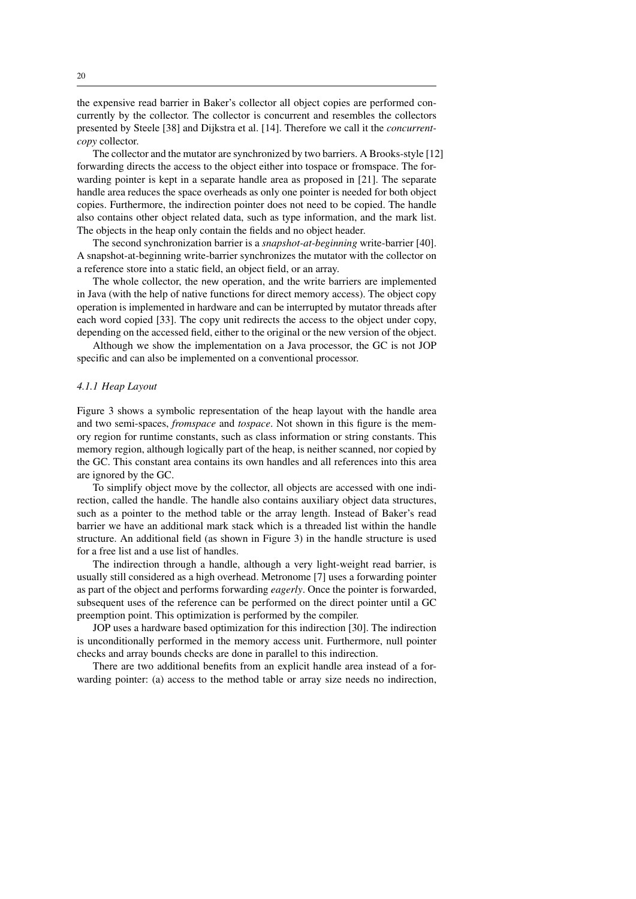the expensive read barrier in Baker's collector all object copies are performed concurrently by the collector. The collector is concurrent and resembles the collectors presented by Steele [\[38\]](#page-36-3) and Dijkstra et al. [\[14\]](#page-35-2). Therefore we call it the *concurrentcopy* collector.

The collector and the mutator are synchronized by two barriers. A Brooks-style [\[12\]](#page-35-10) forwarding directs the access to the object either into tospace or fromspace. The forwarding pointer is kept in a separate handle area as proposed in [\[21\]](#page-35-11). The separate handle area reduces the space overheads as only one pointer is needed for both object copies. Furthermore, the indirection pointer does not need to be copied. The handle also contains other object related data, such as type information, and the mark list. The objects in the heap only contain the fields and no object header.

The second synchronization barrier is a *snapshot-at-beginning* write-barrier [\[40\]](#page-36-10). A snapshot-at-beginning write-barrier synchronizes the mutator with the collector on a reference store into a static field, an object field, or an array.

The whole collector, the new operation, and the write barriers are implemented in Java (with the help of native functions for direct memory access). The object copy operation is implemented in hardware and can be interrupted by mutator threads after each word copied [\[33\]](#page-36-2). The copy unit redirects the access to the object under copy, depending on the accessed field, either to the original or the new version of the object.

Although we show the implementation on a Java processor, the GC is not JOP specific and can also be implemented on a conventional processor.

#### *4.1.1 Heap Layout*

Figure [3](#page-20-0) shows a symbolic representation of the heap layout with the handle area and two semi-spaces, *fromspace* and *tospace*. Not shown in this figure is the memory region for runtime constants, such as class information or string constants. This memory region, although logically part of the heap, is neither scanned, nor copied by the GC. This constant area contains its own handles and all references into this area are ignored by the GC.

To simplify object move by the collector, all objects are accessed with one indirection, called the handle. The handle also contains auxiliary object data structures, such as a pointer to the method table or the array length. Instead of Baker's read barrier we have an additional mark stack which is a threaded list within the handle structure. An additional field (as shown in Figure [3\)](#page-20-0) in the handle structure is used for a free list and a use list of handles.

The indirection through a handle, although a very light-weight read barrier, is usually still considered as a high overhead. Metronome [\[7\]](#page-35-6) uses a forwarding pointer as part of the object and performs forwarding *eagerly*. Once the pointer is forwarded, subsequent uses of the reference can be performed on the direct pointer until a GC preemption point. This optimization is performed by the compiler.

JOP uses a hardware based optimization for this indirection [\[30\]](#page-36-13). The indirection is unconditionally performed in the memory access unit. Furthermore, null pointer checks and array bounds checks are done in parallel to this indirection.

There are two additional benefits from an explicit handle area instead of a forwarding pointer: (a) access to the method table or array size needs no indirection,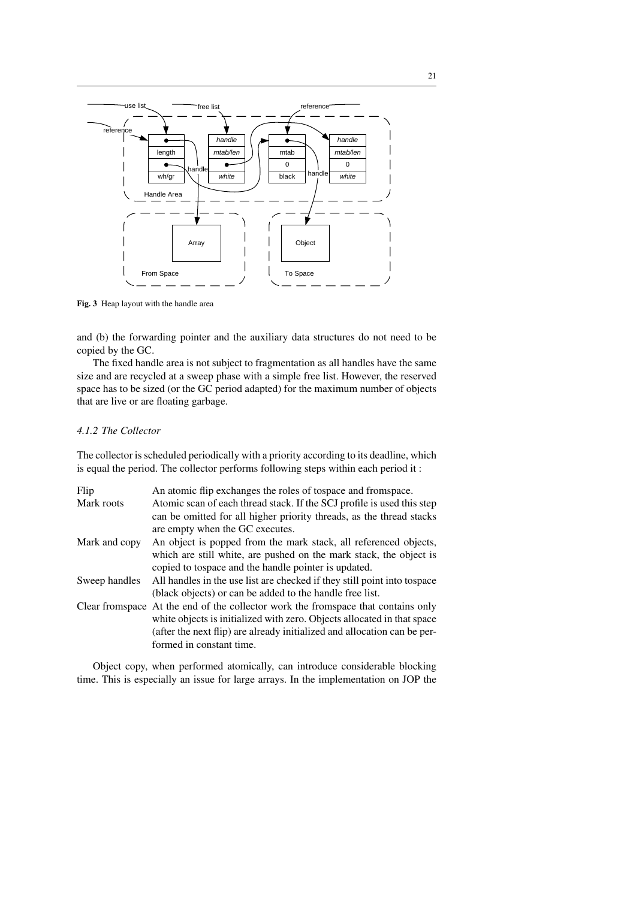

<span id="page-20-0"></span>Fig. 3 Heap layout with the handle area

and (b) the forwarding pointer and the auxiliary data structures do not need to be copied by the GC.

The fixed handle area is not subject to fragmentation as all handles have the same size and are recycled at a sweep phase with a simple free list. However, the reserved space has to be sized (or the GC period adapted) for the maximum number of objects that are live or are floating garbage.

# *4.1.2 The Collector*

The collector is scheduled periodically with a priority according to its deadline, which is equal the period. The collector performs following steps within each period it :

| Flip          | An atomic flip exchanges the roles of tospace and fromspace.                        |
|---------------|-------------------------------------------------------------------------------------|
| Mark roots    | Atomic scan of each thread stack. If the SCJ profile is used this step              |
|               | can be omitted for all higher priority threads, as the thread stacks                |
|               | are empty when the GC executes.                                                     |
| Mark and copy | An object is popped from the mark stack, all referenced objects,                    |
|               | which are still white, are pushed on the mark stack, the object is                  |
|               | copied to tospace and the handle pointer is updated.                                |
| Sweep handles | All handles in the use list are checked if they still point into tospace            |
|               | (black objects) or can be added to the handle free list.                            |
|               | Clear from space At the end of the collector work the from space that contains only |
|               | white objects is initialized with zero. Objects allocated in that space             |
|               | (after the next flip) are already initialized and allocation can be per-            |
|               | formed in constant time.                                                            |

Object copy, when performed atomically, can introduce considerable blocking time. This is especially an issue for large arrays. In the implementation on JOP the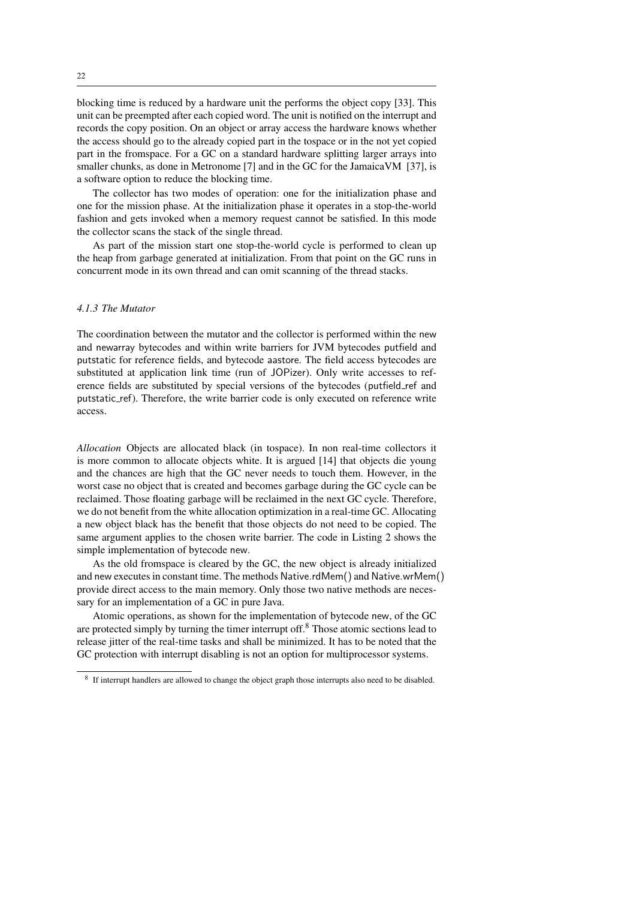blocking time is reduced by a hardware unit the performs the object copy [\[33\]](#page-36-2). This unit can be preempted after each copied word. The unit is notified on the interrupt and records the copy position. On an object or array access the hardware knows whether the access should go to the already copied part in the tospace or in the not yet copied part in the fromspace. For a GC on a standard hardware splitting larger arrays into smaller chunks, as done in Metronome [\[7\]](#page-35-6) and in the GC for the JamaicaVM [\[37\]](#page-36-7), is a software option to reduce the blocking time.

The collector has two modes of operation: one for the initialization phase and one for the mission phase. At the initialization phase it operates in a stop-the-world fashion and gets invoked when a memory request cannot be satisfied. In this mode the collector scans the stack of the single thread.

As part of the mission start one stop-the-world cycle is performed to clean up the heap from garbage generated at initialization. From that point on the GC runs in concurrent mode in its own thread and can omit scanning of the thread stacks.

# *4.1.3 The Mutator*

The coordination between the mutator and the collector is performed within the new and newarray bytecodes and within write barriers for JVM bytecodes putfield and putstatic for reference fields, and bytecode aastore. The field access bytecodes are substituted at application link time (run of JOPizer). Only write accesses to reference fields are substituted by special versions of the bytecodes (putfield ref and putstatic ref). Therefore, the write barrier code is only executed on reference write access.

*Allocation* Objects are allocated black (in tospace). In non real-time collectors it is more common to allocate objects white. It is argued [\[14\]](#page-35-2) that objects die young and the chances are high that the GC never needs to touch them. However, in the worst case no object that is created and becomes garbage during the GC cycle can be reclaimed. Those floating garbage will be reclaimed in the next GC cycle. Therefore, we do not benefit from the white allocation optimization in a real-time GC. Allocating a new object black has the benefit that those objects do not need to be copied. The same argument applies to the chosen write barrier. The code in Listing [2](#page-22-0) shows the simple implementation of bytecode new.

As the old fromspace is cleared by the GC, the new object is already initialized and new executes in constant time. The methods Native.rdMem() and Native.wrMem() provide direct access to the main memory. Only those two native methods are necessary for an implementation of a GC in pure Java.

Atomic operations, as shown for the implementation of bytecode new, of the GC are protected simply by turning the timer interrupt of  $f<sup>8</sup>$  $f<sup>8</sup>$  $f<sup>8</sup>$ . Those atomic sections lead to release jitter of the real-time tasks and shall be minimized. It has to be noted that the GC protection with interrupt disabling is not an option for multiprocessor systems.

<span id="page-21-0"></span><sup>&</sup>lt;sup>8</sup> If interrupt handlers are allowed to change the object graph those interrupts also need to be disabled.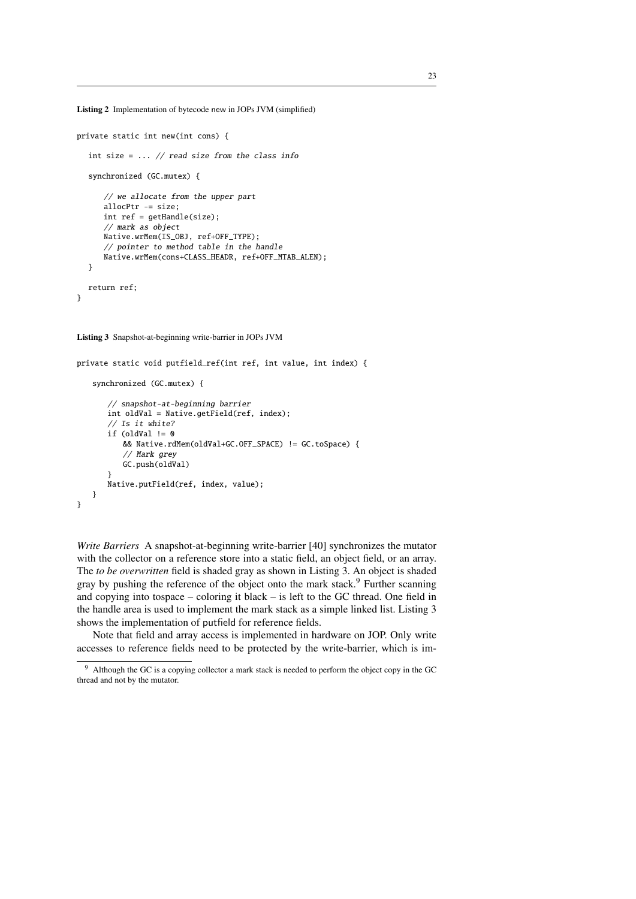<span id="page-22-0"></span>Listing 2 Implementation of bytecode new in JOPs JVM (simplified)

```
private static int new(int cons) {
  int size = \ldots // read size from the class info
  synchronized (GC.mutex) {
      // we allocate from the upper part
      allocPtr -= size;
      int ref = getHandle(size);
      // mark as object
      Native.wrMem(IS_OBJ, ref+OFF_TYPE);
      // pointer to method table in the handle
      Native.wrMem(cons+CLASS_HEADR, ref+OFF_MTAB_ALEN);
  }
  return ref;
}
```
<span id="page-22-1"></span>Listing 3 Snapshot-at-beginning write-barrier in JOPs JVM

```
private static void putfield_ref(int ref, int value, int index) {
   synchronized (GC.mutex) {
       // snapshot-at-beginning barrier
      int oldVal = Native.getField(ref, index);
       // Is it white?
       if (oldVal != 0&& Native.rdMem(oldVal+GC.OFF_SPACE) != GC.toSpace) {
          // Mark grey
          GC.push(oldVal)
       }
      Native.putField(ref, index, value);
   }
}
```
*Write Barriers* A snapshot-at-beginning write-barrier [\[40\]](#page-36-10) synchronizes the mutator with the collector on a reference store into a static field, an object field, or an array. The *to be overwritten* field is shaded gray as shown in Listing [3.](#page-22-1) An object is shaded gray by pushing the reference of the object onto the mark stack.<sup>[9](#page-22-2)</sup> Further scanning and copying into tospace – coloring it black – is left to the GC thread. One field in the handle area is used to implement the mark stack as a simple linked list. Listing [3](#page-22-1) shows the implementation of putfield for reference fields.

Note that field and array access is implemented in hardware on JOP. Only write accesses to reference fields need to be protected by the write-barrier, which is im-

<span id="page-22-2"></span><sup>&</sup>lt;sup>9</sup> Although the GC is a copying collector a mark stack is needed to perform the object copy in the GC thread and not by the mutator.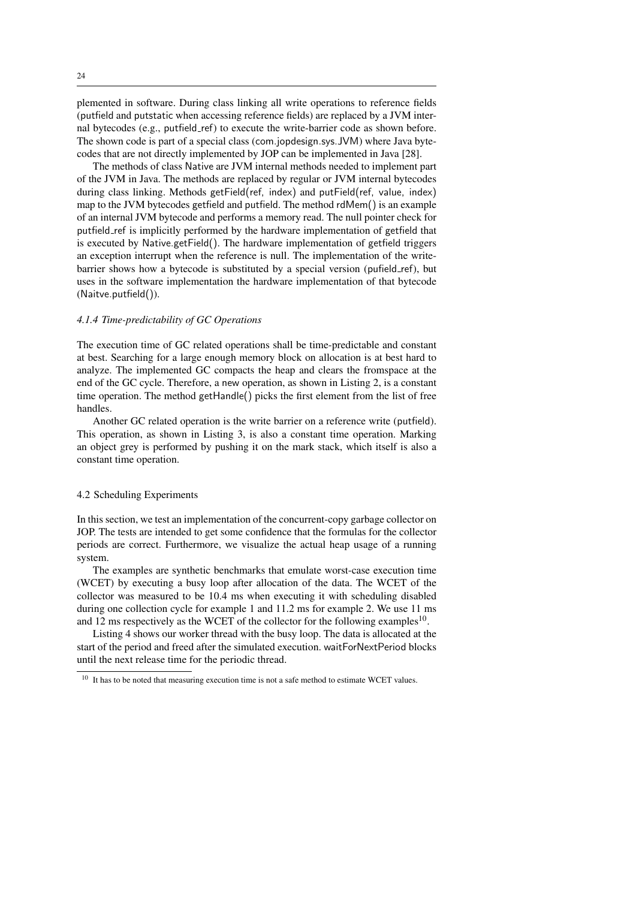plemented in software. During class linking all write operations to reference fields (putfield and putstatic when accessing reference fields) are replaced by a JVM internal bytecodes (e.g., putfield ref) to execute the write-barrier code as shown before. The shown code is part of a special class (com.jopdesign.sys.JVM) where Java bytecodes that are not directly implemented by JOP can be implemented in Java [\[28\]](#page-36-14).

The methods of class Native are JVM internal methods needed to implement part of the JVM in Java. The methods are replaced by regular or JVM internal bytecodes during class linking. Methods getField(ref, index) and putField(ref, value, index) map to the JVM bytecodes getfield and putfield. The method rdMem() is an example of an internal JVM bytecode and performs a memory read. The null pointer check for putfield\_ref is implicitly performed by the hardware implementation of getfield that is executed by Native.getField(). The hardware implementation of getfield triggers an exception interrupt when the reference is null. The implementation of the writebarrier shows how a bytecode is substituted by a special version (pufield ref), but uses in the software implementation the hardware implementation of that bytecode (Naitve.putfield()).

# *4.1.4 Time-predictability of GC Operations*

The execution time of GC related operations shall be time-predictable and constant at best. Searching for a large enough memory block on allocation is at best hard to analyze. The implemented GC compacts the heap and clears the fromspace at the end of the GC cycle. Therefore, a new operation, as shown in Listing [2,](#page-22-0) is a constant time operation. The method getHandle() picks the first element from the list of free handles.

Another GC related operation is the write barrier on a reference write (putfield). This operation, as shown in Listing [3,](#page-22-1) is also a constant time operation. Marking an object grey is performed by pushing it on the mark stack, which itself is also a constant time operation.

## 4.2 Scheduling Experiments

In this section, we test an implementation of the concurrent-copy garbage collector on JOP. The tests are intended to get some confidence that the formulas for the collector periods are correct. Furthermore, we visualize the actual heap usage of a running system.

The examples are synthetic benchmarks that emulate worst-case execution time (WCET) by executing a busy loop after allocation of the data. The WCET of the collector was measured to be 10.4 ms when executing it with scheduling disabled during one collection cycle for example 1 and 11.2 ms for example 2. We use 11 ms and 12 ms respectively as the WCET of the collector for the following examples<sup>[10](#page-23-0)</sup>.

Listing [4](#page-24-0) shows our worker thread with the busy loop. The data is allocated at the start of the period and freed after the simulated execution. waitForNextPeriod blocks until the next release time for the periodic thread.

<span id="page-23-0"></span> $10$  It has to be noted that measuring execution time is not a safe method to estimate WCET values.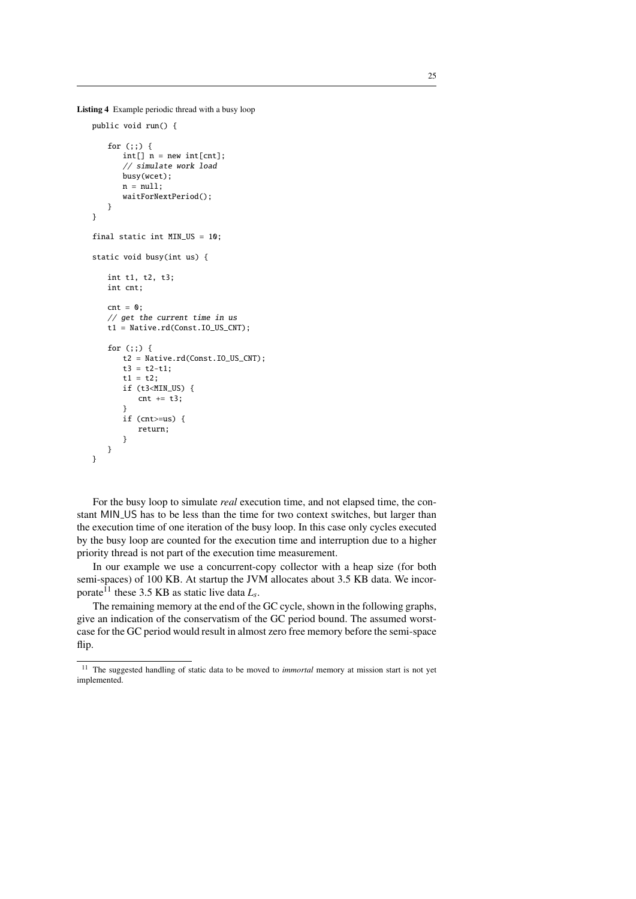<span id="page-24-0"></span>Listing 4 Example periodic thread with a busy loop

```
public void run() {
   for (;;) {
       int[] n = new int[cnt];// simulate work load
       busy(wcet);
       n = null;waitForNextPeriod();
   }
}
final static int MIN_US = 10;
static void busy(int us) {
   int t1, t2, t3;
   int cnt;
   cnt = 0:
   // get the current time in us
   t1 = Native.rd(Const.IO_US_CNT);
   for (:;) {
       t2 = Native.rd(Const.IO_US_CNT);
       t3 = t2-t1;
       t1 = t2;if (t3<MIN_US) {
          cnt += t3;}
       if (cnt>=us) {
          return;
       }
   }
}
```
For the busy loop to simulate *real* execution time, and not elapsed time, the constant MIN US has to be less than the time for two context switches, but larger than the execution time of one iteration of the busy loop. In this case only cycles executed by the busy loop are counted for the execution time and interruption due to a higher priority thread is not part of the execution time measurement.

In our example we use a concurrent-copy collector with a heap size (for both semi-spaces) of 100 KB. At startup the JVM allocates about 3.5 KB data. We incor-porate<sup>[11](#page-24-1)</sup> these 3.5 KB as static live data  $L_s$ .

The remaining memory at the end of the GC cycle, shown in the following graphs, give an indication of the conservatism of the GC period bound. The assumed worstcase for the GC period would result in almost zero free memory before the semi-space flip.

<span id="page-24-1"></span><sup>11</sup> The suggested handling of static data to be moved to *immortal* memory at mission start is not yet implemented.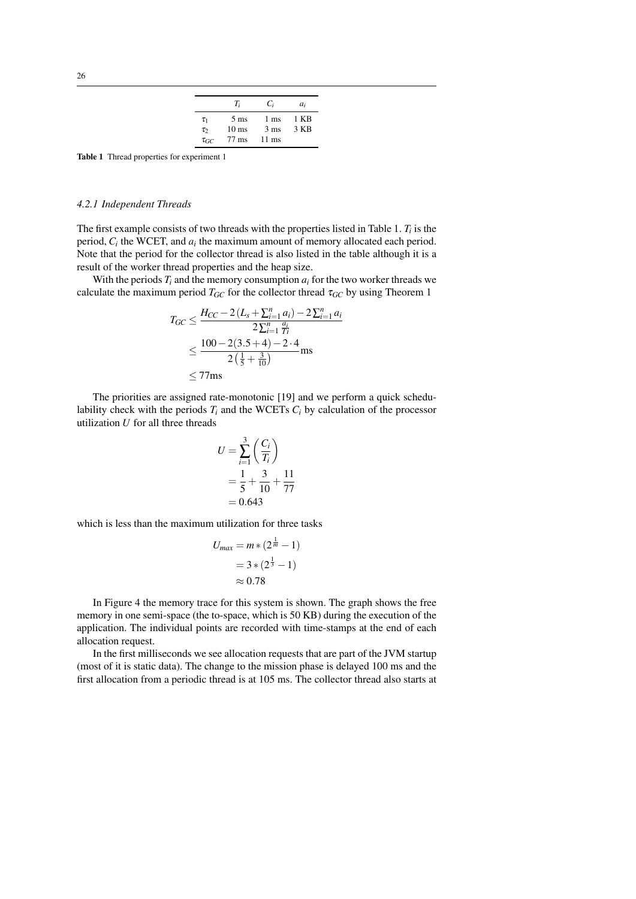|             | T,               | $C_i$           | $a_i$  |
|-------------|------------------|-----------------|--------|
| $\tau_{1}$  | $5 \text{ ms}$   | $1 \text{ ms}$  | 1 KB   |
| $\tau$      | 10 <sub>ms</sub> | $3 \text{ ms}$  | $3$ KB |
| $\tau_{GC}$ | $77 \text{ ms}$  | $11 \text{ ms}$ |        |

<span id="page-25-0"></span>Table 1 Thread properties for experiment 1

## *4.2.1 Independent Threads*

The first example consists of two threads with the properties listed in Table [1.](#page-25-0)  $T_i$  is the period,  $C_i$  the WCET, and  $a_i$  the maximum amount of memory allocated each period. Note that the period for the collector thread is also listed in the table although it is a result of the worker thread properties and the heap size.

With the periods  $T_i$  and the memory consumption  $a_i$  for the two worker threads we calculate the maximum period  $T_{GC}$  for the collector thread  $\tau_{GC}$  by using Theorem [1](#page-12-3)

$$
T_{GC} \leq \frac{H_{CC} - 2(L_s + \sum_{i=1}^n a_i) - 2\sum_{i=1}^n a_i}{2\sum_{i=1}^n \frac{a_i}{Ti}}
$$
  
 
$$
\leq \frac{100 - 2(3.5 + 4) - 2 \cdot 4}{2(\frac{1}{5} + \frac{3}{10})} \text{ms}
$$
  
 
$$
\leq 77 \text{ms}
$$

The priorities are assigned rate-monotonic [\[19\]](#page-35-7) and we perform a quick schedulability check with the periods  $T_i$  and the WCETs  $C_i$  by calculation of the processor utilization *U* for all three threads

$$
U = \sum_{i=1}^{3} \left(\frac{C_i}{T_i}\right)
$$
  
=  $\frac{1}{5} + \frac{3}{10} + \frac{11}{77}$   
= 0.643

which is less than the maximum utilization for three tasks

$$
U_{max} = m * (2^{\frac{1}{m}} - 1)
$$
  
= 3 \* (2<sup>\frac{1}{3}</sup> - 1)  
 \approx 0.78

In Figure [4](#page-26-0) the memory trace for this system is shown. The graph shows the free memory in one semi-space (the to-space, which is 50 KB) during the execution of the application. The individual points are recorded with time-stamps at the end of each allocation request.

In the first milliseconds we see allocation requests that are part of the JVM startup (most of it is static data). The change to the mission phase is delayed 100 ms and the first allocation from a periodic thread is at 105 ms. The collector thread also starts at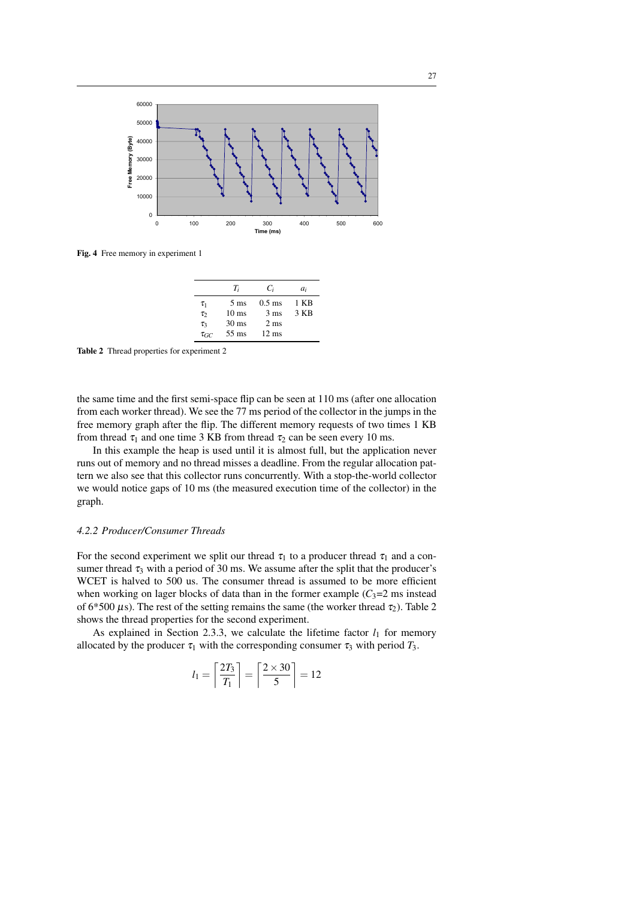

<span id="page-26-0"></span>Fig. 4 Free memory in experiment 1

|             | T,               | Ci.              | ai   |
|-------------|------------------|------------------|------|
| $\tau_1$    | $5 \text{ ms}$   | $0.5 \text{ ms}$ | 1 KB |
| $\tau$      | 10 <sub>ms</sub> | $3 \text{ ms}$   | 3 KB |
| $\tau_3$    | $30 \text{ ms}$  | 2 <sub>ms</sub>  |      |
| $\tau_{GC}$ | $55 \text{ ms}$  | $12 \text{ ms}$  |      |

<span id="page-26-1"></span>Table 2 Thread properties for experiment 2

the same time and the first semi-space flip can be seen at 110 ms (after one allocation from each worker thread). We see the 77 ms period of the collector in the jumps in the free memory graph after the flip. The different memory requests of two times 1 KB from thread  $\tau_1$  and one time 3 KB from thread  $\tau_2$  can be seen every 10 ms.

In this example the heap is used until it is almost full, but the application never runs out of memory and no thread misses a deadline. From the regular allocation pattern we also see that this collector runs concurrently. With a stop-the-world collector we would notice gaps of 10 ms (the measured execution time of the collector) in the graph.

## *4.2.2 Producer/Consumer Threads*

For the second experiment we split our thread  $\tau_1$  to a producer thread  $\tau_1$  and a consumer thread  $\tau_3$  with a period of 30 ms. We assume after the split that the producer's WCET is halved to 500 us. The consumer thread is assumed to be more efficient when working on lager blocks of data than in the former example  $(C_3=2 \text{ ms}$  instead of 6\*500  $\mu$ s). The rest of the setting remains the same (the worker thread  $\tau$ ). Table [2](#page-26-1) shows the thread properties for the second experiment.

As explained in Section [2.3.3,](#page-13-0) we calculate the lifetime factor  $l_1$  for memory allocated by the producer  $\tau_1$  with the corresponding consumer  $\tau_3$  with period  $T_3$ .

$$
l_1 = \left\lceil \frac{2T_3}{T_1} \right\rceil = \left\lceil \frac{2 \times 30}{5} \right\rceil = 12
$$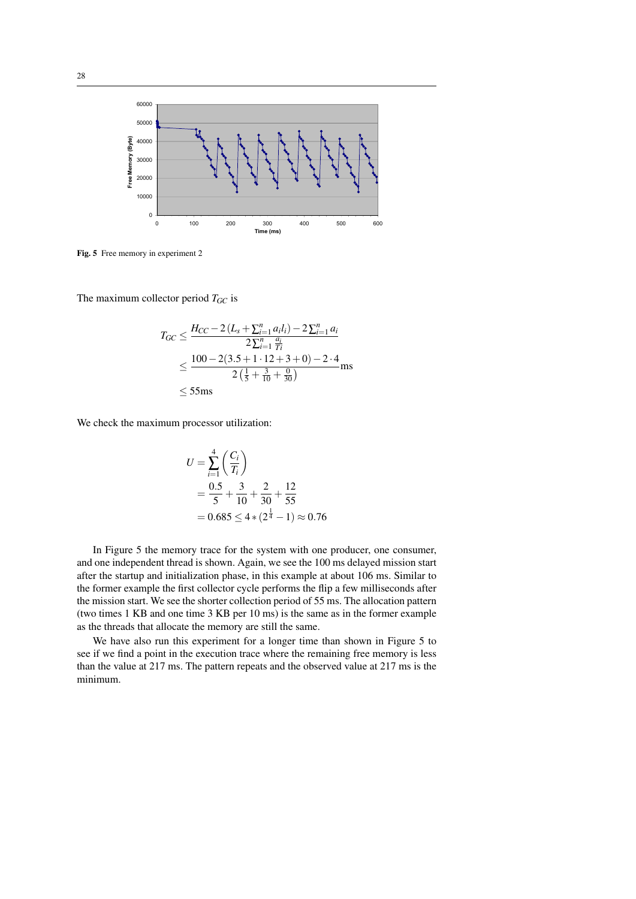

<span id="page-27-0"></span>Fig. 5 Free memory in experiment 2

The maximum collector period *TGC* is

$$
T_{GC} \leq \frac{H_{CC} - 2(L_s + \sum_{i=1}^{n} a_i l_i) - 2\sum_{i=1}^{n} a_i}{2\sum_{i=1}^{n} \frac{a_i}{Ti}}
$$
  
 
$$
\leq \frac{100 - 2(3.5 + 1 \cdot 12 + 3 + 0) - 2 \cdot 4}{2(\frac{1}{5} + \frac{3}{10} + \frac{0}{30})}
$$
ms  
 
$$
\leq 55 \text{ms}
$$

We check the maximum processor utilization:

$$
U = \sum_{i=1}^{4} \left(\frac{C_i}{T_i}\right)
$$
  
=  $\frac{0.5}{5} + \frac{3}{10} + \frac{2}{30} + \frac{12}{55}$   
=  $0.685 \le 4 * (2^{\frac{1}{4}} - 1) \approx 0.76$ 

In Figure [5](#page-27-0) the memory trace for the system with one producer, one consumer, and one independent thread is shown. Again, we see the 100 ms delayed mission start after the startup and initialization phase, in this example at about 106 ms. Similar to the former example the first collector cycle performs the flip a few milliseconds after the mission start. We see the shorter collection period of 55 ms. The allocation pattern (two times 1 KB and one time 3 KB per 10 ms) is the same as in the former example as the threads that allocate the memory are still the same.

We have also run this experiment for a longer time than shown in Figure [5](#page-27-0) to see if we find a point in the execution trace where the remaining free memory is less than the value at 217 ms. The pattern repeats and the observed value at 217 ms is the minimum.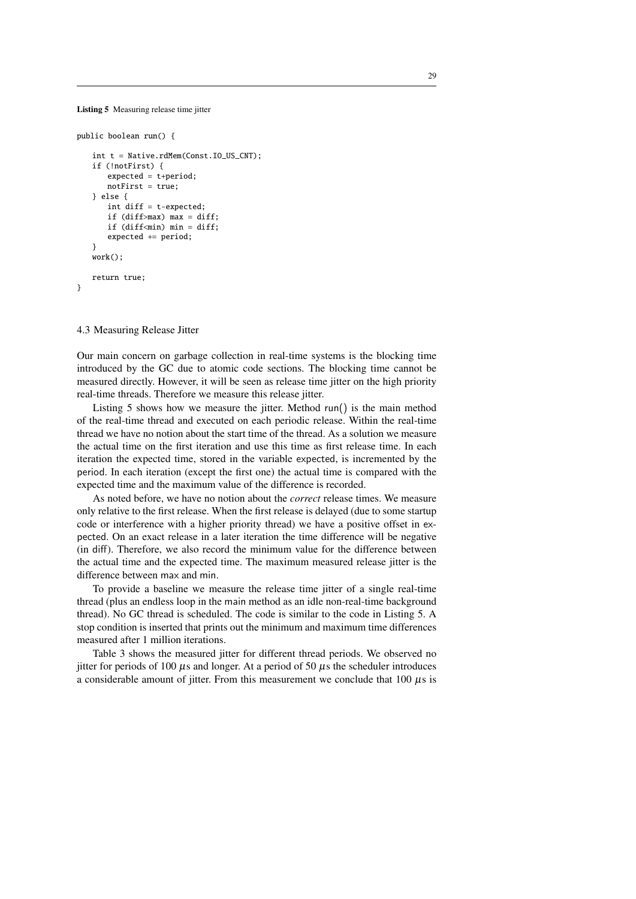<span id="page-28-0"></span>Listing 5 Measuring release time jitter

```
public boolean run() {
   int t = Native.rdMem(Const.IO_US_CNT);
   if (!notFirst) {
       expected = t+period;notFirst = true;
   } else {
       int diff = t-expected;
       if (diff>max) max = diff;
       if (diff<min) min = diff;
       expected += period;
   }
   work();
   return true;
}
```
#### 4.3 Measuring Release Jitter

Our main concern on garbage collection in real-time systems is the blocking time introduced by the GC due to atomic code sections. The blocking time cannot be measured directly. However, it will be seen as release time jitter on the high priority real-time threads. Therefore we measure this release jitter.

Listing [5](#page-28-0) shows how we measure the jitter. Method run() is the main method of the real-time thread and executed on each periodic release. Within the real-time thread we have no notion about the start time of the thread. As a solution we measure the actual time on the first iteration and use this time as first release time. In each iteration the expected time, stored in the variable expected, is incremented by the period. In each iteration (except the first one) the actual time is compared with the expected time and the maximum value of the difference is recorded.

As noted before, we have no notion about the *correct* release times. We measure only relative to the first release. When the first release is delayed (due to some startup code or interference with a higher priority thread) we have a positive offset in expected. On an exact release in a later iteration the time difference will be negative (in diff). Therefore, we also record the minimum value for the difference between the actual time and the expected time. The maximum measured release jitter is the difference between max and min.

To provide a baseline we measure the release time jitter of a single real-time thread (plus an endless loop in the main method as an idle non-real-time background thread). No GC thread is scheduled. The code is similar to the code in Listing [5.](#page-28-0) A stop condition is inserted that prints out the minimum and maximum time differences measured after 1 million iterations.

Table [3](#page-29-0) shows the measured jitter for different thread periods. We observed no jitter for periods of 100  $\mu$ s and longer. At a period of 50  $\mu$ s the scheduler introduces a considerable amount of jitter. From this measurement we conclude that  $100 \mu s$  is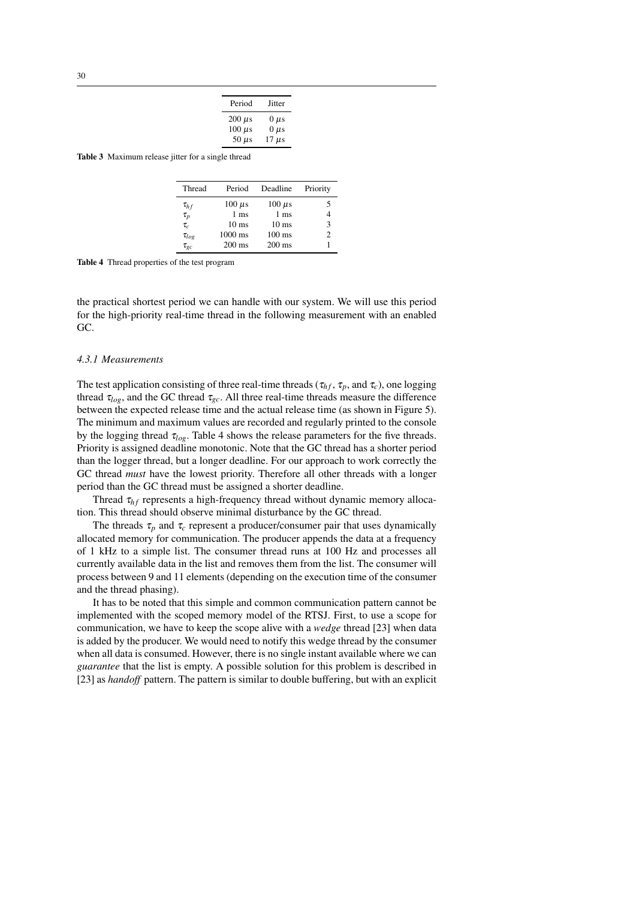| Period        | Jitter     |
|---------------|------------|
| $200 \ \mu s$ | $0 \mu s$  |
| $100 \mu s$   | $0 \mu s$  |
| $50 \mu s$    | $17 \mu s$ |

<span id="page-29-0"></span>Table 3 Maximum release jitter for a single thread

| Thread       | Period          | Deadline         | Priority |
|--------------|-----------------|------------------|----------|
| $\tau_{hf}$  | $100 \mu s$     | $100 \mu s$      |          |
| $\tau_p$     | $1 \text{ ms}$  | $1 \text{ ms}$   |          |
| $\tau_c$     | $10 \text{ ms}$ | $10 \text{ ms}$  | 3        |
| $\tau_{log}$ | $1000$ ms       | $100 \text{ ms}$ | っ        |
| $\tau_{gc}$  | $200$ ms        | $200$ ms         |          |

<span id="page-29-1"></span>Table 4 Thread properties of the test program

the practical shortest period we can handle with our system. We will use this period for the high-priority real-time thread in the following measurement with an enabled GC.

## *4.3.1 Measurements*

The test application consisting of three real-time threads ( $\tau_{hf}$ ,  $\tau_p$ , and  $\tau_c$ ), one logging thread  $\tau_{\text{loc}}$ , and the GC thread  $\tau_{\text{ec}}$ . All three real-time threads measure the difference between the expected release time and the actual release time (as shown in Figure [5\)](#page-28-0). The minimum and maximum values are recorded and regularly printed to the console by the logging thread  $\tau_{\text{loc}}$ . Table [4](#page-29-1) shows the release parameters for the five threads. Priority is assigned deadline monotonic. Note that the GC thread has a shorter period than the logger thread, but a longer deadline. For our approach to work correctly the GC thread *must* have the lowest priority. Therefore all other threads with a longer period than the GC thread must be assigned a shorter deadline.

Thread  $\tau_{hf}$  represents a high-frequency thread without dynamic memory allocation. This thread should observe minimal disturbance by the GC thread.

The threads  $\tau_p$  and  $\tau_c$  represent a producer/consumer pair that uses dynamically allocated memory for communication. The producer appends the data at a frequency of 1 kHz to a simple list. The consumer thread runs at 100 Hz and processes all currently available data in the list and removes them from the list. The consumer will process between 9 and 11 elements (depending on the execution time of the consumer and the thread phasing).

It has to be noted that this simple and common communication pattern cannot be implemented with the scoped memory model of the RTSJ. First, to use a scope for communication, we have to keep the scope alive with a *wedge* thread [\[23\]](#page-36-0) when data is added by the producer. We would need to notify this wedge thread by the consumer when all data is consumed. However, there is no single instant available where we can *guarantee* that the list is empty. A possible solution for this problem is described in [\[23\]](#page-36-0) as *handoff* pattern. The pattern is similar to double buffering, but with an explicit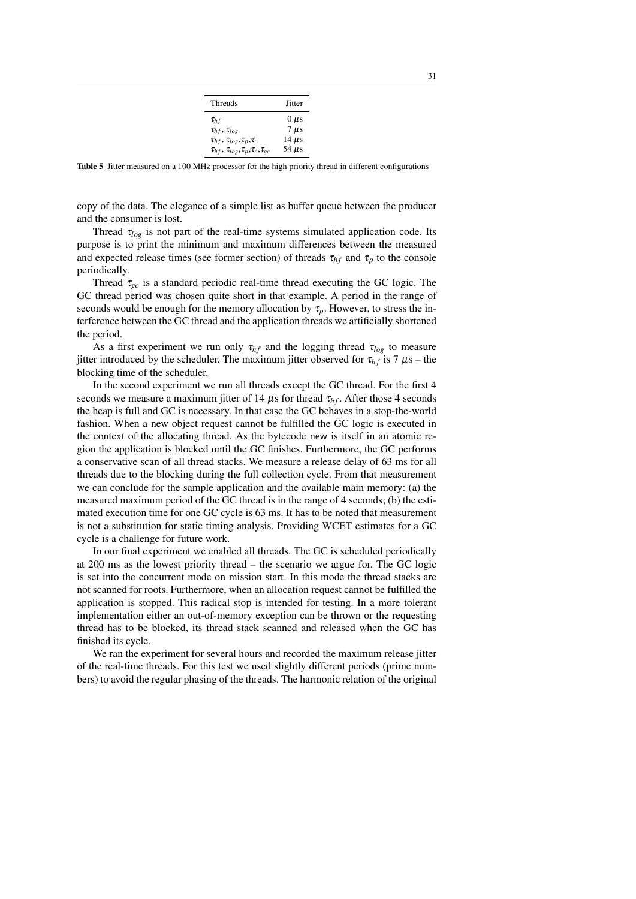| Threads                                            | Jitter     |
|----------------------------------------------------|------------|
| $\tau_{hf}$                                        | $0 \mu s$  |
| $\tau_{hf}, \tau_{log}$                            | $7 \mu s$  |
| $\tau_{hf}, \tau_{log}, \tau_p, \tau_c$            | $14 \mu s$ |
| $\tau_{hf}, \tau_{log}, \tau_p, \tau_c, \tau_{gc}$ | 54 $\mu$ s |

Table 5 Jitter measured on a 100 MHz processor for the high priority thread in different configurations

copy of the data. The elegance of a simple list as buffer queue between the producer and the consumer is lost.

Thread  $\tau_{\text{log}}$  is not part of the real-time systems simulated application code. Its purpose is to print the minimum and maximum differences between the measured and expected release times (see former section) of threads  $\tau_{hf}$  and  $\tau_p$  to the console periodically.

Thread  $\tau_{gc}$  is a standard periodic real-time thread executing the GC logic. The GC thread period was chosen quite short in that example. A period in the range of seconds would be enough for the memory allocation by  $\tau_p$ . However, to stress the interference between the GC thread and the application threads we artificially shortened the period.

As a first experiment we run only  $\tau_{hf}$  and the logging thread  $\tau_{log}$  to measure jitter introduced by the scheduler. The maximum jitter observed for  $\tau_{hf}$  is 7  $\mu$ s – the blocking time of the scheduler.

In the second experiment we run all threads except the GC thread. For the first 4 seconds we measure a maximum jitter of 14  $\mu$ s for thread  $\tau_{hf}$ . After those 4 seconds the heap is full and GC is necessary. In that case the GC behaves in a stop-the-world fashion. When a new object request cannot be fulfilled the GC logic is executed in the context of the allocating thread. As the bytecode new is itself in an atomic region the application is blocked until the GC finishes. Furthermore, the GC performs a conservative scan of all thread stacks. We measure a release delay of 63 ms for all threads due to the blocking during the full collection cycle. From that measurement we can conclude for the sample application and the available main memory: (a) the measured maximum period of the GC thread is in the range of 4 seconds; (b) the estimated execution time for one GC cycle is 63 ms. It has to be noted that measurement is not a substitution for static timing analysis. Providing WCET estimates for a GC cycle is a challenge for future work.

In our final experiment we enabled all threads. The GC is scheduled periodically at 200 ms as the lowest priority thread – the scenario we argue for. The GC logic is set into the concurrent mode on mission start. In this mode the thread stacks are not scanned for roots. Furthermore, when an allocation request cannot be fulfilled the application is stopped. This radical stop is intended for testing. In a more tolerant implementation either an out-of-memory exception can be thrown or the requesting thread has to be blocked, its thread stack scanned and released when the GC has finished its cycle.

We ran the experiment for several hours and recorded the maximum release jitter of the real-time threads. For this test we used slightly different periods (prime numbers) to avoid the regular phasing of the threads. The harmonic relation of the original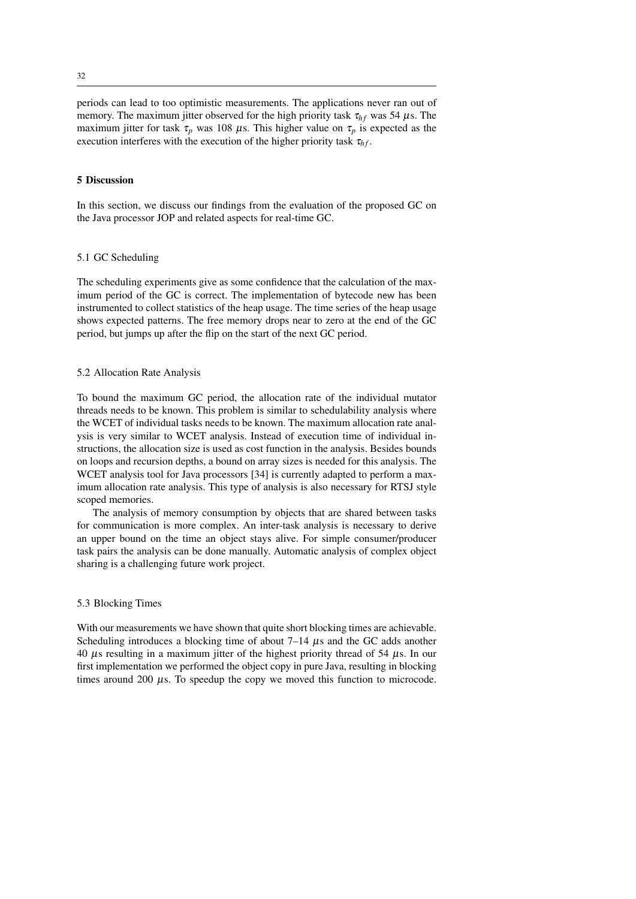periods can lead to too optimistic measurements. The applications never ran out of memory. The maximum jitter observed for the high priority task  $\tau_{hf}$  was 54  $\mu$ s. The maximum jitter for task  $\tau_p$  was 108  $\mu$ s. This higher value on  $\tau_p$  is expected as the execution interferes with the execution of the higher priority task  $\tau_{hf}$ .

# <span id="page-31-0"></span>5 Discussion

In this section, we discuss our findings from the evaluation of the proposed GC on the Java processor JOP and related aspects for real-time GC.

## 5.1 GC Scheduling

The scheduling experiments give as some confidence that the calculation of the maximum period of the GC is correct. The implementation of bytecode new has been instrumented to collect statistics of the heap usage. The time series of the heap usage shows expected patterns. The free memory drops near to zero at the end of the GC period, but jumps up after the flip on the start of the next GC period.

#### 5.2 Allocation Rate Analysis

To bound the maximum GC period, the allocation rate of the individual mutator threads needs to be known. This problem is similar to schedulability analysis where the WCET of individual tasks needs to be known. The maximum allocation rate analysis is very similar to WCET analysis. Instead of execution time of individual instructions, the allocation size is used as cost function in the analysis. Besides bounds on loops and recursion depths, a bound on array sizes is needed for this analysis. The WCET analysis tool for Java processors [\[34\]](#page-36-15) is currently adapted to perform a maximum allocation rate analysis. This type of analysis is also necessary for RTSJ style scoped memories.

The analysis of memory consumption by objects that are shared between tasks for communication is more complex. An inter-task analysis is necessary to derive an upper bound on the time an object stays alive. For simple consumer/producer task pairs the analysis can be done manually. Automatic analysis of complex object sharing is a challenging future work project.

## 5.3 Blocking Times

With our measurements we have shown that quite short blocking times are achievable. Scheduling introduces a blocking time of about  $7-14$   $\mu$ s and the GC adds another 40  $\mu$ s resulting in a maximum jitter of the highest priority thread of 54  $\mu$ s. In our first implementation we performed the object copy in pure Java, resulting in blocking times around 200  $\mu$ s. To speedup the copy we moved this function to microcode.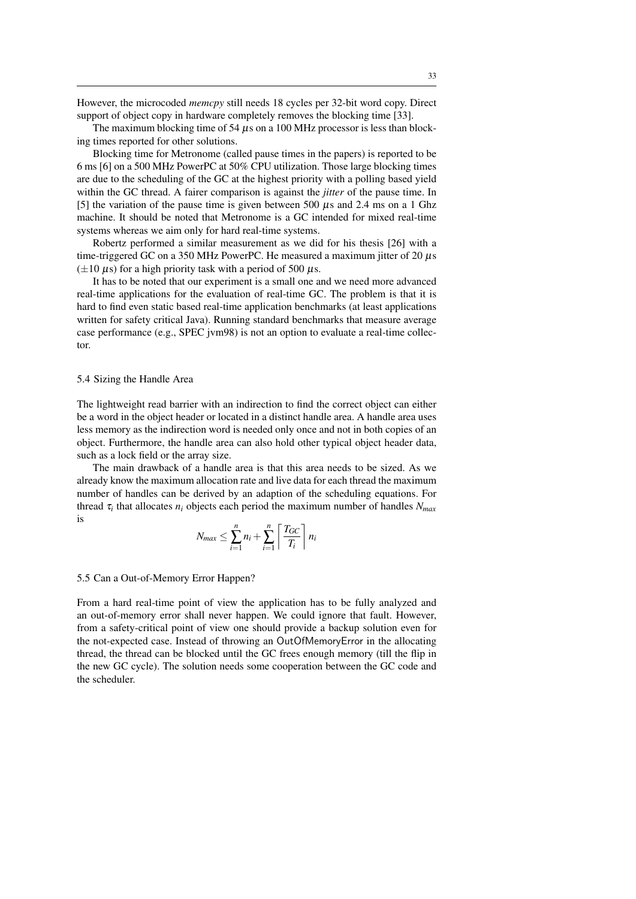However, the microcoded *memcpy* still needs 18 cycles per 32-bit word copy. Direct support of object copy in hardware completely removes the blocking time [\[33\]](#page-36-2).

The maximum blocking time of 54  $\mu$ s on a 100 MHz processor is less than blocking times reported for other solutions.

Blocking time for Metronome (called pause times in the papers) is reported to be 6 ms [\[6\]](#page-35-12) on a 500 MHz PowerPC at 50% CPU utilization. Those large blocking times are due to the scheduling of the GC at the highest priority with a polling based yield within the GC thread. A fairer comparison is against the *jitter* of the pause time. In [\[5\]](#page-35-13) the variation of the pause time is given between 500  $\mu$ s and 2.4 ms on a 1 Ghz machine. It should be noted that Metronome is a GC intended for mixed real-time systems whereas we aim only for hard real-time systems.

Robertz performed a similar measurement as we did for his thesis [\[26\]](#page-36-16) with a time-triggered GC on a 350 MHz PowerPC. He measured a maximum jitter of 20  $\mu$ s  $(\pm 10 \,\mu s)$  for a high priority task with a period of 500  $\mu s$ .

It has to be noted that our experiment is a small one and we need more advanced real-time applications for the evaluation of real-time GC. The problem is that it is hard to find even static based real-time application benchmarks (at least applications written for safety critical Java). Running standard benchmarks that measure average case performance (e.g., SPEC jvm98) is not an option to evaluate a real-time collector.

#### 5.4 Sizing the Handle Area

The lightweight read barrier with an indirection to find the correct object can either be a word in the object header or located in a distinct handle area. A handle area uses less memory as the indirection word is needed only once and not in both copies of an object. Furthermore, the handle area can also hold other typical object header data, such as a lock field or the array size.

The main drawback of a handle area is that this area needs to be sized. As we already know the maximum allocation rate and live data for each thread the maximum number of handles can be derived by an adaption of the scheduling equations. For thread  $\tau_i$  that allocates  $n_i$  objects each period the maximum number of handles  $N_{max}$ is

$$
N_{max} \leq \sum_{i=1}^{n} n_i + \sum_{i=1}^{n} \left\lceil \frac{T_{GC}}{T_i} \right\rceil n_i
$$

#### 5.5 Can a Out-of-Memory Error Happen?

From a hard real-time point of view the application has to be fully analyzed and an out-of-memory error shall never happen. We could ignore that fault. However, from a safety-critical point of view one should provide a backup solution even for the not-expected case. Instead of throwing an OutOfMemoryError in the allocating thread, the thread can be blocked until the GC frees enough memory (till the flip in the new GC cycle). The solution needs some cooperation between the GC code and the scheduler.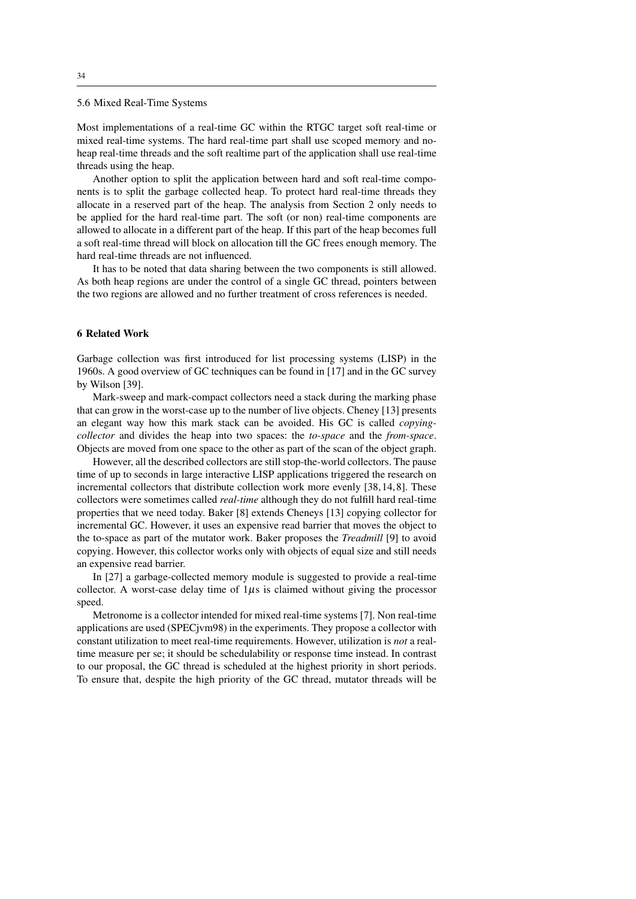5.6 Mixed Real-Time Systems

Most implementations of a real-time GC within the RTGC target soft real-time or mixed real-time systems. The hard real-time part shall use scoped memory and noheap real-time threads and the soft realtime part of the application shall use real-time threads using the heap.

Another option to split the application between hard and soft real-time components is to split the garbage collected heap. To protect hard real-time threads they allocate in a reserved part of the heap. The analysis from Section [2](#page-3-0) only needs to be applied for the hard real-time part. The soft (or non) real-time components are allowed to allocate in a different part of the heap. If this part of the heap becomes full a soft real-time thread will block on allocation till the GC frees enough memory. The hard real-time threads are not influenced.

It has to be noted that data sharing between the two components is still allowed. As both heap regions are under the control of a single GC thread, pointers between the two regions are allowed and no further treatment of cross references is needed.

## <span id="page-33-0"></span>6 Related Work

Garbage collection was first introduced for list processing systems (LISP) in the 1960s. A good overview of GC techniques can be found in [\[17\]](#page-35-14) and in the GC survey by Wilson [\[39\]](#page-36-17).

Mark-sweep and mark-compact collectors need a stack during the marking phase that can grow in the worst-case up to the number of live objects. Cheney [\[13\]](#page-35-9) presents an elegant way how this mark stack can be avoided. His GC is called *copyingcollector* and divides the heap into two spaces: the *to-space* and the *from-space*. Objects are moved from one space to the other as part of the scan of the object graph.

However, all the described collectors are still stop-the-world collectors. The pause time of up to seconds in large interactive LISP applications triggered the research on incremental collectors that distribute collection work more evenly [\[38,](#page-36-3)[14,](#page-35-2)[8\]](#page-35-3). These collectors were sometimes called *real-time* although they do not fulfill hard real-time properties that we need today. Baker [\[8\]](#page-35-3) extends Cheneys [\[13\]](#page-35-9) copying collector for incremental GC. However, it uses an expensive read barrier that moves the object to the to-space as part of the mutator work. Baker proposes the *Treadmill* [\[9\]](#page-35-15) to avoid copying. However, this collector works only with objects of equal size and still needs an expensive read barrier.

In [\[27\]](#page-36-18) a garbage-collected memory module is suggested to provide a real-time collector. A worst-case delay time of  $1\mu s$  is claimed without giving the processor speed.

Metronome is a collector intended for mixed real-time systems [\[7\]](#page-35-6). Non real-time applications are used (SPECjvm98) in the experiments. They propose a collector with constant utilization to meet real-time requirements. However, utilization is *not* a realtime measure per se; it should be schedulability or response time instead. In contrast to our proposal, the GC thread is scheduled at the highest priority in short periods. To ensure that, despite the high priority of the GC thread, mutator threads will be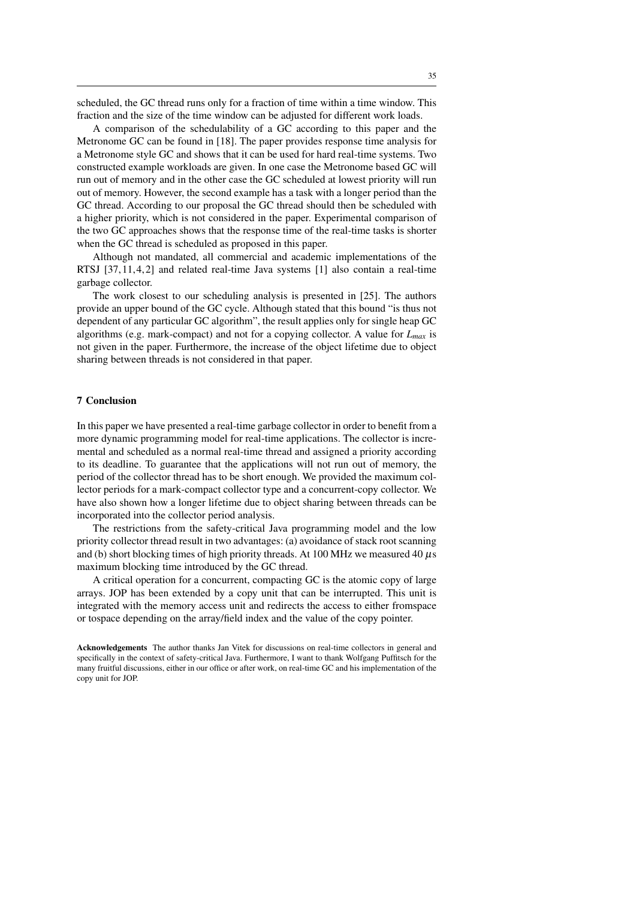scheduled, the GC thread runs only for a fraction of time within a time window. This fraction and the size of the time window can be adjusted for different work loads.

A comparison of the schedulability of a GC according to this paper and the Metronome GC can be found in [\[18\]](#page-35-16). The paper provides response time analysis for a Metronome style GC and shows that it can be used for hard real-time systems. Two constructed example workloads are given. In one case the Metronome based GC will run out of memory and in the other case the GC scheduled at lowest priority will run out of memory. However, the second example has a task with a longer period than the GC thread. According to our proposal the GC thread should then be scheduled with a higher priority, which is not considered in the paper. Experimental comparison of the two GC approaches shows that the response time of the real-time tasks is shorter when the GC thread is scheduled as proposed in this paper.

Although not mandated, all commercial and academic implementations of the RTSJ [\[37,](#page-36-7)[11,](#page-35-17)[4,](#page-35-18)[2\]](#page-35-19) and related real-time Java systems [\[1\]](#page-35-20) also contain a real-time garbage collector.

The work closest to our scheduling analysis is presented in [\[25\]](#page-36-8). The authors provide an upper bound of the GC cycle. Although stated that this bound "is thus not dependent of any particular GC algorithm", the result applies only for single heap GC algorithms (e.g. mark-compact) and not for a copying collector. A value for *Lmax* is not given in the paper. Furthermore, the increase of the object lifetime due to object sharing between threads is not considered in that paper.

#### <span id="page-34-0"></span>7 Conclusion

In this paper we have presented a real-time garbage collector in order to benefit from a more dynamic programming model for real-time applications. The collector is incremental and scheduled as a normal real-time thread and assigned a priority according to its deadline. To guarantee that the applications will not run out of memory, the period of the collector thread has to be short enough. We provided the maximum collector periods for a mark-compact collector type and a concurrent-copy collector. We have also shown how a longer lifetime due to object sharing between threads can be incorporated into the collector period analysis.

The restrictions from the safety-critical Java programming model and the low priority collector thread result in two advantages: (a) avoidance of stack root scanning and (b) short blocking times of high priority threads. At 100 MHz we measured 40  $\mu$ s maximum blocking time introduced by the GC thread.

A critical operation for a concurrent, compacting GC is the atomic copy of large arrays. JOP has been extended by a copy unit that can be interrupted. This unit is integrated with the memory access unit and redirects the access to either fromspace or tospace depending on the array/field index and the value of the copy pointer.

Acknowledgements The author thanks Jan Vitek for discussions on real-time collectors in general and specifically in the context of safety-critical Java. Furthermore, I want to thank Wolfgang Puffitsch for the many fruitful discussions, either in our office or after work, on real-time GC and his implementation of the copy unit for JOP.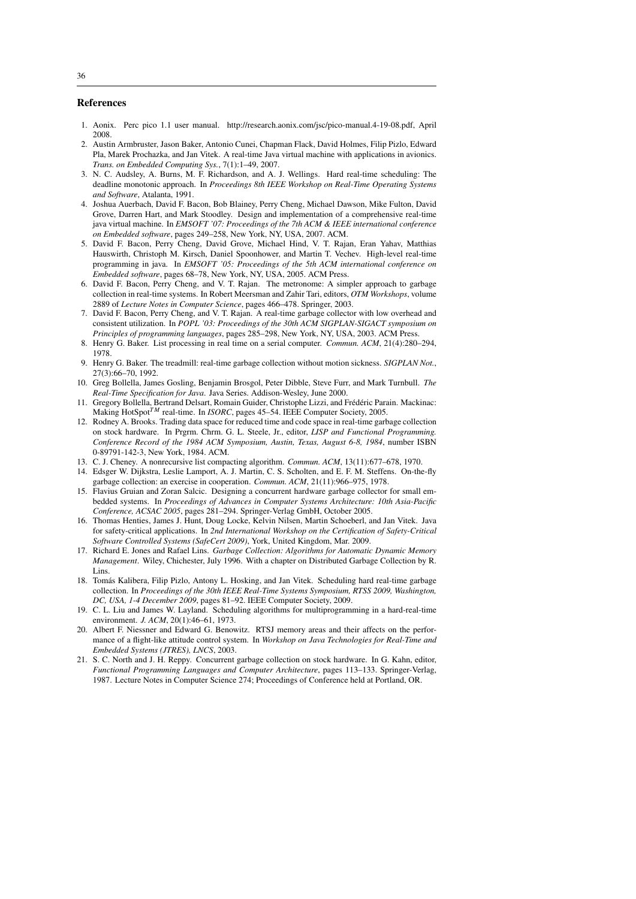## References

- <span id="page-35-20"></span>1. Aonix. Perc pico 1.1 user manual. http://research.aonix.com/jsc/pico-manual.4-19-08.pdf, April 2008.
- <span id="page-35-19"></span>2. Austin Armbruster, Jason Baker, Antonio Cunei, Chapman Flack, David Holmes, Filip Pizlo, Edward Pla, Marek Prochazka, and Jan Vitek. A real-time Java virtual machine with applications in avionics. *Trans. on Embedded Computing Sys.*, 7(1):1–49, 2007.
- <span id="page-35-8"></span>3. N. C. Audsley, A. Burns, M. F. Richardson, and A. J. Wellings. Hard real-time scheduling: The deadline monotonic approach. In *Proceedings 8th IEEE Workshop on Real-Time Operating Systems and Software*, Atalanta, 1991.
- <span id="page-35-18"></span>4. Joshua Auerbach, David F. Bacon, Bob Blainey, Perry Cheng, Michael Dawson, Mike Fulton, David Grove, Darren Hart, and Mark Stoodley. Design and implementation of a comprehensive real-time java virtual machine. In *EMSOFT '07: Proceedings of the 7th ACM & IEEE international conference on Embedded software*, pages 249–258, New York, NY, USA, 2007. ACM.
- <span id="page-35-13"></span>5. David F. Bacon, Perry Cheng, David Grove, Michael Hind, V. T. Rajan, Eran Yahav, Matthias Hauswirth, Christoph M. Kirsch, Daniel Spoonhower, and Martin T. Vechev. High-level real-time programming in java. In *EMSOFT '05: Proceedings of the 5th ACM international conference on Embedded software*, pages 68–78, New York, NY, USA, 2005. ACM Press.
- <span id="page-35-12"></span>6. David F. Bacon, Perry Cheng, and V. T. Rajan. The metronome: A simpler approach to garbage collection in real-time systems. In Robert Meersman and Zahir Tari, editors, *OTM Workshops*, volume 2889 of *Lecture Notes in Computer Science*, pages 466–478. Springer, 2003.
- <span id="page-35-6"></span>7. David F. Bacon, Perry Cheng, and V. T. Rajan. A real-time garbage collector with low overhead and consistent utilization. In *POPL '03: Proceedings of the 30th ACM SIGPLAN-SIGACT symposium on Principles of programming languages*, pages 285–298, New York, NY, USA, 2003. ACM Press.
- <span id="page-35-3"></span>8. Henry G. Baker. List processing in real time on a serial computer. *Commun. ACM*, 21(4):280–294, 1978.
- <span id="page-35-15"></span>9. Henry G. Baker. The treadmill: real-time garbage collection without motion sickness. *SIGPLAN Not.*, 27(3):66–70, 1992.
- <span id="page-35-0"></span>10. Greg Bollella, James Gosling, Benjamin Brosgol, Peter Dibble, Steve Furr, and Mark Turnbull. *The Real-Time Specification for Java*. Java Series. Addison-Wesley, June 2000.
- <span id="page-35-17"></span>11. Gregory Bollella, Bertrand Delsart, Romain Guider, Christophe Lizzi, and Frédéric Parain. Mackinac: Making HotSpot*TM* real-time. In *ISORC*, pages 45–54. IEEE Computer Society, 2005.
- <span id="page-35-10"></span>12. Rodney A. Brooks. Trading data space for reduced time and code space in real-time garbage collection on stock hardware. In Prgrm. Chrm. G. L. Steele, Jr., editor, *LISP and Functional Programming. Conference Record of the 1984 ACM Symposium, Austin, Texas, August 6-8, 1984*, number ISBN 0-89791-142-3, New York, 1984. ACM.
- <span id="page-35-9"></span>13. C. J. Cheney. A nonrecursive list compacting algorithm. *Commun. ACM*, 13(11):677–678, 1970.
- <span id="page-35-2"></span>14. Edsger W. Dijkstra, Leslie Lamport, A. J. Martin, C. S. Scholten, and E. F. M. Steffens. On-the-fly garbage collection: an exercise in cooperation. *Commun. ACM*, 21(11):966–975, 1978.
- <span id="page-35-4"></span>15. Flavius Gruian and Zoran Salcic. Designing a concurrent hardware garbage collector for small embedded systems. In *Proceedings of Advances in Computer Systems Architecture: 10th Asia-Pacific Conference, ACSAC 2005*, pages 281–294. Springer-Verlag GmbH, October 2005.
- <span id="page-35-5"></span>16. Thomas Henties, James J. Hunt, Doug Locke, Kelvin Nilsen, Martin Schoeberl, and Jan Vitek. Java for safety-critical applications. In *2nd International Workshop on the Certification of Safety-Critical Software Controlled Systems (SafeCert 2009)*, York, United Kingdom, Mar. 2009.
- <span id="page-35-14"></span>17. Richard E. Jones and Rafael Lins. *Garbage Collection: Algorithms for Automatic Dynamic Memory Management*. Wiley, Chichester, July 1996. With a chapter on Distributed Garbage Collection by R. Lins.
- <span id="page-35-16"></span>18. Tomas Kalibera, Filip Pizlo, Antony L. Hosking, and Jan Vitek. Scheduling hard real-time garbage ´ collection. In *Proceedings of the 30th IEEE Real-Time Systems Symposium, RTSS 2009, Washington, DC, USA, 1-4 December 2009*, pages 81–92. IEEE Computer Society, 2009.
- <span id="page-35-7"></span>19. C. L. Liu and James W. Layland. Scheduling algorithms for multiprogramming in a hard-real-time environment. *J. ACM*, 20(1):46–61, 1973.
- <span id="page-35-1"></span>20. Albert F. Niessner and Edward G. Benowitz. RTSJ memory areas and their affects on the performance of a flight-like attitude control system. In *Workshop on Java Technologies for Real-Time and Embedded Systems (JTRES), LNCS*, 2003.
- <span id="page-35-11"></span>21. S. C. North and J. H. Reppy. Concurrent garbage collection on stock hardware. In G. Kahn, editor, *Functional Programming Languages and Computer Architecture*, pages 113–133. Springer-Verlag, 1987. Lecture Notes in Computer Science 274; Proceedings of Conference held at Portland, OR.